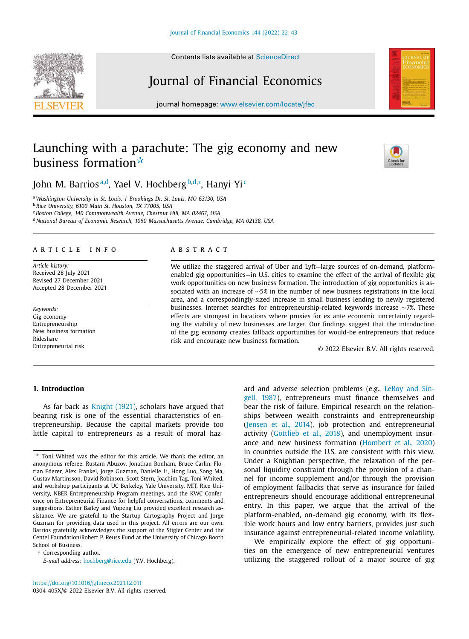Contents lists available at ScienceDirect

# Journal of Financial Economics

journal homepage: www.elsevier.com/locate/jfec

## Launching with a parachute: The gig economy and new business formation $\mathbf{\hat{x}}$

John M. Barriosª<sup>,d</sup>, Yael V. Hochberg<sup>b,d,</sup>\*, Hanyi Yi<sup>c</sup>

<sup>a</sup> *Washington University in St. Louis, 1 Brookings Dr, St. Louis, MO 63130, USA*

<sup>b</sup> *Rice University, 6100 Main St, Houston, TX 77005, USA*

<sup>c</sup> *Boston College, 140 Commonwealth Avenue, Chestnut Hill, MA 02467, USA*

<sup>d</sup> *National Bureau of Economic Research, 1050 Massachusetts Avenue, Cambridge, MA 02138, USA*

#### a r t i c l e i n f o

*Article history:* Received 28 July 2021 Revised 27 December 2021 Accepted 28 December 2021

*Keywords:* Gig economy Entrepreneurship New business formation Rideshare Entrepreneurial risk

## a b s t r a c t

We utilize the staggered arrival of Uber and Lyft—large sources of on-demand, platformenabled gig opportunities—in U.S. cities to examine the effect of the arrival of flexible gig work opportunities on new business formation. The introduction of gig opportunities is associated with an increase of ∼5% in the number of new business registrations in the local area, and a correspondingly-sized increase in small business lending to newly registered businesses. Internet searches for entrepreneurship-related keywords increase ∼7%. These effects are strongest in locations where proxies for ex ante economic uncertainty regarding the viability of new businesses are larger. Our findings suggest that the introduction of the gig economy creates fallback opportunities for would-be entrepreneurs that reduce risk and encourage new business formation.

© 2022 Elsevier B.V. All rights reserved.

## **1. Introduction**

As far back as Knight (1921), scholars have argued that bearing risk is one of the essential characteristics of entrepreneurship. Because the capital markets provide too little capital to entrepreneurs as a result of moral haz-

Corresponding author.

*E-mail address:* hochberg@rice.edu (Y.V. Hochberg).

ard and adverse selection problems (e.g., LeRoy and Singell, 1987), entrepreneurs must finance themselves and bear the risk of failure. Empirical research on the relationships between wealth constraints and entrepreneurship (Jensen et al., 2014), job protection and entrepreneurial activity (Gottlieb et al., 2018), and unemployment insurance and new business formation (Hombert et al., 2020) in countries outside the U.S. are consistent with this view. Under a Knightian perspective, the relaxation of the personal liquidity constraint through the provision of a channel for income supplement and/or through the provision of employment fallbacks that serve as insurance for failed entrepreneurs should encourage additional entrepreneurial entry. In this paper, we argue that the arrival of the platform-enabled, on-demand gig economy, with its flexible work hours and low entry barriers, provides just such insurance against entrepreneurial-related income volatility.

We empirically explore the effect of gig opportunities on the emergence of new entrepreneurial ventures utilizing the staggered rollout of a major source of gig





 $\hat{X}$  Toni Whited was the editor for this article. We thank the editor, an anonymous referee, Rustam Abuzov, Jonathan Bonham, Bruce Carlin, Florian Ederer, Alex Frankel, Jorge Guzman, Danielle Li, Hong Luo, Song Ma, Gustav Martinsson, David Robinson, Scott Stern, Joachim Tag, Toni Whited, and workshop participants at UC Berkeley, Yale University, MIT, Rice University, NBER Entrepreneurship Program meetings, and the KWC Conference on Entrepreneurial Finance for helpful conversations, comments and suggestions. Esther Bailey and Yupeng Liu provided excellent research assistance. We are grateful to the Startup Cartography Project and Jorge Guzman for providing data used in this project. All errors are our own. Barrios gratefully acknowledges the support of the Stigler Center and the Centel Foundation/Robert P. Reuss Fund at the University of Chicago Booth School of Business.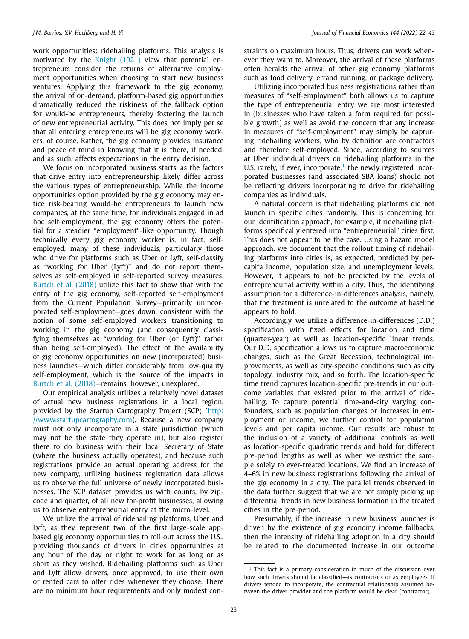work opportunities: ridehailing platforms. This analysis is motivated by the Knight (1921) view that potential entrepreneurs consider the returns of alternative employment opportunities when choosing to start new business ventures. Applying this framework to the gig economy, the arrival of on-demand, platform-based gig opportunities dramatically reduced the riskiness of the fallback option for would-be entrepreneurs, thereby fostering the launch of new entrepreneurial activity. This does not imply per se that all entering entrepreneurs will be gig economy workers, of course. Rather, the gig economy provides insurance and peace of mind in knowing that it is there, if needed, and as such, affects expectations in the entry decision.

We focus on incorporated business starts, as the factors that drive entry into entrepreneurship likely differ across the various types of entrepreneurship. While the income opportunities option provided by the gig economy may entice risk-bearing would-be entrepreneurs to launch new companies, at the same time, for individuals engaged in ad hoc self-employment, the gig economy offers the potential for a steadier "employment"-like opportunity. Though technically every gig economy worker is, in fact, selfemployed, many of these individuals, particularly those who drive for platforms such as Uber or Lyft, self-classify as "working for Uber (Lyft)" and do not report themselves as self-employed in self-reported survey measures. Burtch et al. (2018) utilize this fact to show that with the entry of the gig economy, self-reported self-employment from the Current Population Survey—primarily unincorporated self-employment—goes down, consistent with the notion of some self-employed workers transitioning to working in the gig economy (and consequently classifying themselves as "working for Uber (or Lyft)" rather than being self-employed). The effect of the availability of gig economy opportunities on new (incorporated) business launches—which differ considerably from low-quality self-employment, which is the source of the impacts in Burtch et al. (2018)—remains, however, unexplored.

Our empirical analysis utilizes a relatively novel dataset of actual new business registrations in a local region, provided by the Startup Cartography Project (SCP) (http: //www.startupcartography.com). Because a new company must not only incorporate in a state jurisdiction (which may not be the state they operate in), but also register there to do business with their local Secretary of State (where the business actually operates), and because such registrations provide an actual operating address for the new company, utilizing business registration data allows us to observe the full universe of newly incorporated businesses. The SCP dataset provides us with counts, by zipcode and quarter, of all new for-profit businesses, allowing us to observe entrepreneurial entry at the micro-level.

We utilize the arrival of ridehailing platforms, Uber and Lyft, as they represent two of the first large-scale appbased gig economy opportunities to roll out across the U.S., providing thousands of drivers in cities opportunities at any hour of the day or night to work for as long or as short as they wished. Ridehailing platforms such as Uber and Lyft allow drivers, once approved, to use their own or rented cars to offer rides whenever they choose. There are no minimum hour requirements and only modest constraints on maximum hours. Thus, drivers can work whenever they want to. Moreover, the arrival of these platforms often heralds the arrival of other gig economy platforms such as food delivery, errand running, or package delivery.

Utilizing incorporated business registrations rather than measures of "self-employment" both allows us to capture the type of entrepreneurial entry we are most interested in (businesses who have taken a form required for possible growth) as well as avoid the concern that any increase in measures of "self-employment" may simply be capturing ridehailing workers, who by definition are contractors and therefore self-employed. Since, according to sources at Uber, individual drivers on ridehailing platforms in the U.S. rarely, if ever, incorporate, $<sup>1</sup>$  the newly registered incor-</sup> porated businesses (and associated SBA loans) should not be reflecting drivers incorporating to drive for ridehailing companies as individuals.

A natural concern is that ridehailing platforms did not launch in specific cities randomly. This is concerning for our identification approach, for example, if ridehailing platforms specifically entered into "entrepreneurial" cities first. This does not appear to be the case. Using a hazard model approach, we document that the rollout timing of ridehailing platforms into cities is, as expected, predicted by percapita income, population size, and unemployment levels. However, it appears to not be predicted by the levels of entrepreneurial activity within a city. Thus, the identifying assumption for a difference-in-differences analysis, namely, that the treatment is unrelated to the outcome at baseline appears to hold.

Accordingly, we utilize a difference-in-differences (D.D.) specification with fixed effects for location and time (quarter-year) as well as location-specific linear trends. Our D.D. specification allows us to capture macroeconomic changes, such as the Great Recession, technological improvements, as well as city-specific conditions such as city topology, industry mix, and so forth. The location-specific time trend captures location-specific pre-trends in our outcome variables that existed prior to the arrival of ridehailing. To capture potential time-and-city varying confounders, such as population changes or increases in employment or income, we further control for population levels and per capita income. Our results are robust to the inclusion of a variety of additional controls as well as location-specific quadratic trends and hold for different pre-period lengths as well as when we restrict the sample solely to ever-treated locations. We find an increase of 4–6% in new business registrations following the arrival of the gig economy in a city. The parallel trends observed in the data further suggest that we are not simply picking up differential trends in new business formation in the treated cities in the pre-period.

Presumably, if the increase in new business launches is driven by the existence of gig economy income fallbacks, then the intensity of ridehailing adoption in a city should be related to the documented increase in our outcome

<sup>&</sup>lt;sup>1</sup> This fact is a primary consideration in much of the discussion over how such drivers should be classified—as contractors or as employees. If drivers tended to incorporate, the contractual relationship assumed between the driver-provider and the platform would be clear (contractor).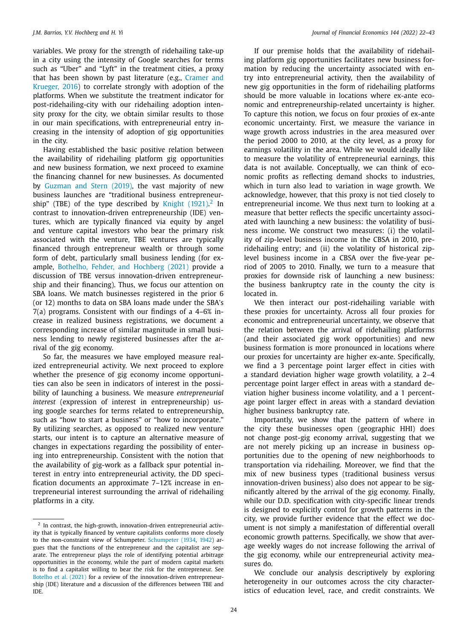variables. We proxy for the strength of ridehailing take-up in a city using the intensity of Google searches for terms such as "Uber" and "Lyft" in the treatment cities, a proxy that has been shown by past literature (e.g., Cramer and Krueger, 2016) to correlate strongly with adoption of the platforms. When we substitute the treatment indicator for post-ridehailing-city with our ridehailing adoption intensity proxy for the city, we obtain similar results to those in our main specifications, with entrepreneurial entry increasing in the intensity of adoption of gig opportunities in the city.

Having established the basic positive relation between the availability of ridehailing platform gig opportunities and new business formation, we next proceed to examine the financing channel for new businesses. As documented by Guzman and Stern (2019), the vast majority of new business launches are "traditional business entrepreneurship" (TBE) of the type described by Knight  $(1921)^2$  In contrast to innovation-driven entrepreneurship (IDE) ventures, which are typically financed via equity by angel and venture capital investors who bear the primary risk associated with the venture, TBE ventures are typically financed through entrepreneur wealth or through some form of debt, particularly small business lending (for example, Bothelho, Fehder, and Hochberg (2021) provide a discussion of TBE versus innovation-driven entrepreneurship and their financing). Thus, we focus our attention on SBA loans. We match businesses registered in the prior 6 (or 12) months to data on SBA loans made under the SBA's 7(a) programs. Consistent with our findings of a 4–6% increase in realized business registrations, we document a corresponding increase of similar magnitude in small business lending to newly registered businesses after the arrival of the gig economy.

So far, the measures we have employed measure realized entrepreneurial activity. We next proceed to explore whether the presence of gig economy income opportunities can also be seen in indicators of interest in the possibility of launching a business. We measure *entrepreneurial interest* (expression of interest in entrepreneurship) using google searches for terms related to entrepreneurship, such as "how to start a business" or "how to incorporate." By utilizing searches, as opposed to realized new venture starts, our intent is to capture an alternative measure of changes in expectations regarding the possibility of entering into entrepreneurship. Consistent with the notion that the availability of gig-work as a fallback spur potential interest in entry into entrepreneurial activity, the DD specification documents an approximate 7–12% increase in entrepreneurial interest surrounding the arrival of ridehailing platforms in a city.

If our premise holds that the availability of ridehailing platform gig opportunities facilitates new business formation by reducing the uncertainty associated with entry into entrepreneurial activity, then the availability of new gig opportunities in the form of ridehailing platforms should be more valuable in locations where ex-ante economic and entrepreneurship-related uncertainty is higher. To capture this notion, we focus on four proxies of ex-ante economic uncertainty. First, we measure the variance in wage growth across industries in the area measured over the period 2000 to 2010, at the city level, as a proxy for earnings volatility in the area. While we would ideally like to measure the volatility of entrepreneurial earnings, this data is not available. Conceptually, we can think of economic profits as reflecting demand shocks to industries, which in turn also lead to variation in wage growth. We acknowledge, however, that this proxy is not tied closely to entrepreneurial income. We thus next turn to looking at a measure that better reflects the specific uncertainty associated with launching a new business: the volatility of business income. We construct two measures: (i) the volatility of zip-level business income in the CBSA in 2010, preridehailing entry; and (ii) the volatility of historical ziplevel business income in a CBSA over the five-year period of 2005 to 2010. Finally, we turn to a measure that proxies for downside risk of launching a new business: the business bankruptcy rate in the county the city is located in.

We then interact our post-ridehailing variable with these proxies for uncertainty. Across all four proxies for economic and entrepreneurial uncertainty, we observe that the relation between the arrival of ridehailing platforms (and their associated gig work opportunities) and new business formation is more pronounced in locations where our proxies for uncertainty are higher ex-ante. Specifically, we find a 3 percentage point larger effect in cities with a standard deviation higher wage growth volatility, a 2–4 percentage point larger effect in areas with a standard deviation higher business income volatility, and a 1 percentage point larger effect in areas with a standard deviation higher business bankruptcy rate.

Importantly, we show that the pattern of where in the city these businesses open (geographic HHI) does not change post-gig economy arrival, suggesting that we are not merely picking up an increase in business opportunities due to the opening of new neighborhoods to transportation via ridehailing. Moreover, we find that the mix of new business types (traditional business versus innovation-driven business) also does not appear to be significantly altered by the arrival of the gig economy. Finally, while our D.D. specification with city-specific linear trends is designed to explicitly control for growth patterns in the city, we provide further evidence that the effect we document is not simply a manifestation of differential overall economic growth patterns. Specifically, we show that average weekly wages do not increase following the arrival of the gig economy, while our entrepreneurial activity measures do.

We conclude our analysis descriptively by exploring heterogeneity in our outcomes across the city characteristics of education level, race, and credit constraints. We

<sup>&</sup>lt;sup>2</sup> In contrast, the high-growth, innovation-driven entrepreneurial activity that is typically financed by venture capitalists conforms more closely to the non-constraint view of Schumpeter. Schumpeter (1934, 1942) argues that the functions of the entrepreneur and the capitalist are separate. The entrepreneur plays the role of identifying potential arbitrage opportunities in the economy, while the part of modern capital markets is to find a capitalist willing to bear the risk for the entrepreneur. See Botelho et al. (2021) for a review of the innovation-driven entrepreneurship (IDE) literature and a discussion of the differences between TBE and IDE.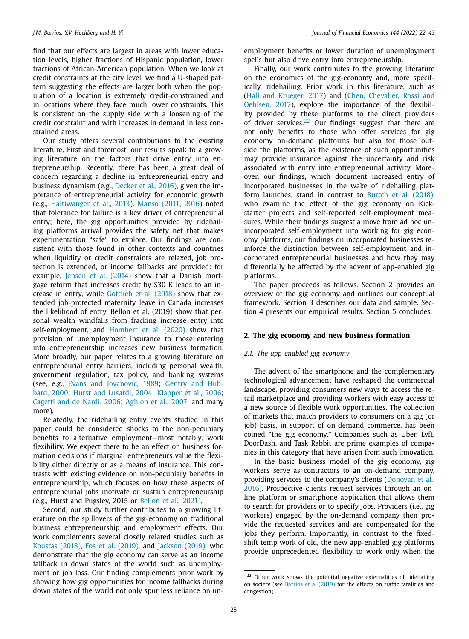find that our effects are largest in areas with lower education levels, higher fractions of Hispanic population, lower fractions of African-American population. When we look at credit constraints at the city level, we find a U-shaped pattern suggesting the effects are larger both when the population of a location is extremely credit-constrained and in locations where they face much lower constraints. This is consistent on the supply side with a loosening of the credit constraint and with increases in demand in less constrained areas.

Our study offers several contributions to the existing literature. First and foremost, our results speak to a growing literature on the factors that drive entry into entrepreneurship. Recently, there has been a great deal of concern regarding a decline in entrepreneurial entry and business dynamism (e.g., Decker et al., 2016), given the importance of entrepreneurial activity for economic growth (e.g., Haltiwanger et al., 2013). Manso (2011, 2016) noted that tolerance for failure is a key driver of entrepreneurial entry; here, the gig opportunities provided by ridehailing platforms arrival provides the safety net that makes experimentation "safe" to explore. Our findings are consistent with those found in other contexts and countries when liquidity or credit constraints are relaxed, job protection is extended, or income fallbacks are provided: for example, Jensen et al. (2014) show that a Danish mortgage reform that increases credit by \$30 K leads to an increase in entry, while Gottlieb et al. (2018) show that extended job-protected maternity leave in Canada increases the likelihood of entry, Bellon et al. (2019) show that personal wealth windfalls from fracking increase entry into self-employment, and Hombert et al. (2020) show that provision of unemployment insurance to those entering into entrepreneurship increases new business formation. More broadly, our paper relates to a growing literature on entrepreneurial entry barriers, including personal wealth, government regulation, tax policy, and banking systems (see, e.g., Evans and Jovanovic, 1989; Gentry and Hubbard, 2000; Hurst and Lusardi, 2004; Klapper et al., 2006; Cagetti and de Nardi, 2006; Aghion et al., 2007, and many more).

Relatedly, the ridehailing entry events studied in this paper could be considered shocks to the non-pecuniary benefits to alternative employment—most notably, work flexibility. We expect there to be an effect on business formation decisions if marginal entrepreneurs value the flexibility either directly or as a means of insurance. This contrasts with existing evidence on non-pecuniary benefits in entrepreneurship, which focuses on how these aspects of entrepreneurial jobs motivate or sustain entrepreneurship (e.g., Hurst and Pugsley, 2015 or Bellon et al., 2021).

Second, our study further contributes to a growing literature on the spillovers of the gig-economy on traditional business entrepreneurship and employment effects. Our work complements several closely related studies such as Koustas (2018), Fos et al. (2019), and Jackson (2019), who demonstrate that the gig economy can serve as an income fallback in down states of the world such as unemployment or job loss. Our finding complements prior work by showing how gig opportunities for income fallbacks during down states of the world not only spur less reliance on unemployment benefits or lower duration of unemployment spells but also drive entry into entrepreneurship.

Finally, our work contributes to the growing literature on the economics of the gig-economy and, more specifically, ridehailing. Prior work in this literature, such as (Hall and Krueger, 2017) and (Chen, Chevalier, Rossi and Oehlsen, 2017), explore the importance of the flexibility provided by these platforms to the direct providers of driver services.<sup>22</sup> Our findings suggest that there are not only benefits to those who offer services for gig economy on-demand platforms but also for those outside the platforms, as the existence of such opportunities may provide insurance against the uncertainty and risk associated with entry into entrepreneurial activity. Moreover, our findings, which document increased entry of incorporated businesses in the wake of ridehailing platform launches, stand in contrast to Burtch et al. (2018), who examine the effect of the gig economy on Kickstarter projects and self-reported self-employment measures. While their findings suggest a move from ad hoc unincorporated self-employment into working for gig economy platforms, our findings on incorporated businesses reinforce the distinction between self-employment and incorporated entrepreneurial businesses and how they may differentially be affected by the advent of app-enabled gig platforms.

The paper proceeds as follows. Section 2 provides an overview of the gig economy and outlines our conceptual framework. Section 3 describes our data and sample. Section 4 presents our empirical results. Section 5 concludes.

#### **2. The gig economy and new business formation**

#### *2.1. The app-enabled gig economy*

The advent of the smartphone and the complementary technological advancement have reshaped the commercial landscape, providing consumers new ways to access the retail marketplace and providing workers with easy access to a new source of flexible work opportunities. The collection of markets that match providers to consumers on a gig (or job) basis, in support of on-demand commerce, has been coined "the gig economy." Companies such as Uber, Lyft, DoorDash, and Task Rabbit are prime examples of companies in this category that have arisen from such innovation.

In the basic business model of the gig economy, gig workers serve as contractors to an on-demand company, providing services to the company's clients (Donovan et al., 2016). Prospective clients request services through an online platform or smartphone application that allows them to search for providers or to specify jobs. Providers (i.e., gig workers) engaged by the on-demand company then provide the requested services and are compensated for the jobs they perform. Importantly, in contrast to the fixedshift temp work of old, the new app-enabled gig platforms provide unprecedented flexibility to work only when the

<sup>&</sup>lt;sup>22</sup> Other work shows the potential negative externalities of ridehailing on society (see Barrios et al (2019) for the effects on traffic fatalities and congestion).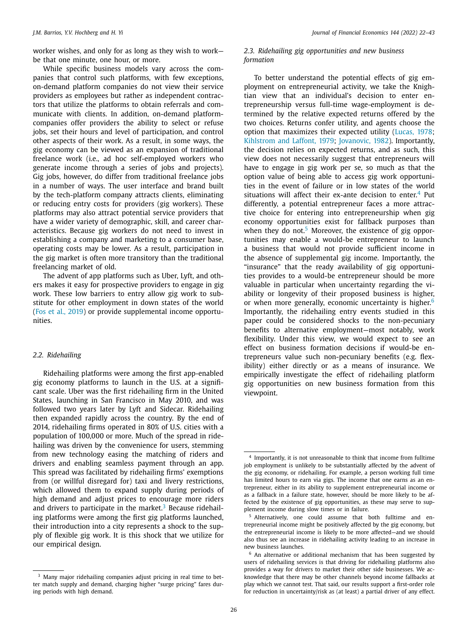worker wishes, and only for as long as they wish to work be that one minute, one hour, or more.

While specific business models vary across the companies that control such platforms, with few exceptions, on-demand platform companies do not view their service providers as employees but rather as independent contractors that utilize the platforms to obtain referrals and communicate with clients. In addition, on-demand platformcompanies offer providers the ability to select or refuse jobs, set their hours and level of participation, and control other aspects of their work. As a result, in some ways, the gig economy can be viewed as an expansion of traditional freelance work (i.e., ad hoc self-employed workers who generate income through a series of jobs and projects). Gig jobs, however, do differ from traditional freelance jobs in a number of ways. The user interface and brand built by the tech-platform company attracts clients, eliminating or reducing entry costs for providers (gig workers). These platforms may also attract potential service providers that have a wider variety of demographic, skill, and career characteristics. Because gig workers do not need to invest in establishing a company and marketing to a consumer base, operating costs may be lower. As a result, participation in the gig market is often more transitory than the traditional freelancing market of old.

The advent of app platforms such as Uber, Lyft, and others makes it easy for prospective providers to engage in gig work. These low barriers to entry allow gig work to substitute for other employment in down states of the world (Fos et al., 2019) or provide supplemental income opportunities.

#### *2.2. Ridehailing*

Ridehailing platforms were among the first app-enabled gig economy platforms to launch in the U.S. at a significant scale. Uber was the first ridehailing firm in the United States, launching in San Francisco in May 2010, and was followed two years later by Lyft and Sidecar. Ridehailing then expanded rapidly across the country. By the end of 2014, ridehailing firms operated in 80% of U.S. cities with a population of 100,000 or more. Much of the spread in ridehailing was driven by the convenience for users, stemming from new technology easing the matching of riders and drivers and enabling seamless payment through an app. This spread was facilitated by ridehailing firms' exemptions from (or willful disregard for) taxi and livery restrictions, which allowed them to expand supply during periods of high demand and adjust prices to encourage more riders and drivers to participate in the market.<sup>3</sup> Because ridehailing platforms were among the first gig platforms launched, their introduction into a city represents a shock to the supply of flexible gig work. It is this shock that we utilize for our empirical design.

## *2.3. Ridehailing gig opportunities and new business formation*

To better understand the potential effects of gig employment on entrepreneurial activity, we take the Knightian view that an individual's decision to enter entrepreneurship versus full-time wage-employment is determined by the relative expected returns offered by the two choices. Returns confer utility, and agents choose the option that maximizes their expected utility (Lucas, 1978; Kihlstrom and Laffont, 1979; Jovanovic, 1982). Importantly, the decision relies on expected returns, and as such, this view does not necessarily suggest that entrepreneurs will have to engage in gig work per se, so much as that the option value of being able to access gig work opportunities in the event of failure or in low states of the world situations will affect their ex-ante decision to enter.<sup>4</sup> Put differently, a potential entrepreneur faces a more attractive choice for entering into entrepreneurship when gig economy opportunities exist for fallback purposes than when they do not.<sup>5</sup> Moreover, the existence of gig opportunities may enable a would-be entrepreneur to launch a business that would not provide sufficient income in the absence of supplemental gig income. Importantly, the "insurance" that the ready availability of gig opportunities provides to a would-be entrepreneur should be more valuable in particular when uncertainty regarding the viability or longevity of their proposed business is higher, or when more generally, economic uncertainty is higher. $6$ Importantly, the ridehailing entry events studied in this paper could be considered shocks to the non-pecuniary benefits to alternative employment—most notably, work flexibility. Under this view, we would expect to see an effect on business formation decisions if would-be entrepreneurs value such non-pecuniary benefits (e.g. flexibility) either directly or as a means of insurance. We empirically investigate the effect of ridehailing platform gig opportunities on new business formation from this viewpoint.

<sup>&</sup>lt;sup>3</sup> Many major ridehailing companies adjust pricing in real time to better match supply and demand, charging higher "surge pricing" fares during periods with high demand.

<sup>4</sup> Importantly, it is not unreasonable to think that income from fulltime job employment is unlikely to be substantially affected by the advent of the gig economy, or ridehailing. For example, a person working full time has limited hours to earn via gigs. The income that one earns as an entrepreneur, either in its ability to supplement entrepreneurial income or as a fallback in a failure state, however, should be more likely to be affected by the existence of gig opportunities, as these may serve to supplement income during slow times or in failure.

<sup>5</sup> Alternatively, one could assume that both fulltime and entrepreneurial income might be positively affected by the gig economy, but the entrepreneurial income is likely to be more affected—and we should also thus see an increase in ridehailing activity leading to an increase in new business launches.

 $6$  An alternative or additional mechanism that has been suggested by users of ridehailing services is that driving for ridehailing platforms also provides a way for drivers to market their other side businesses. We acknowledge that there may be other channels beyond income fallbacks at play which we cannot test. That said, our results support a first-order role for reduction in uncertainty/risk as (at least) a partial driver of any effect.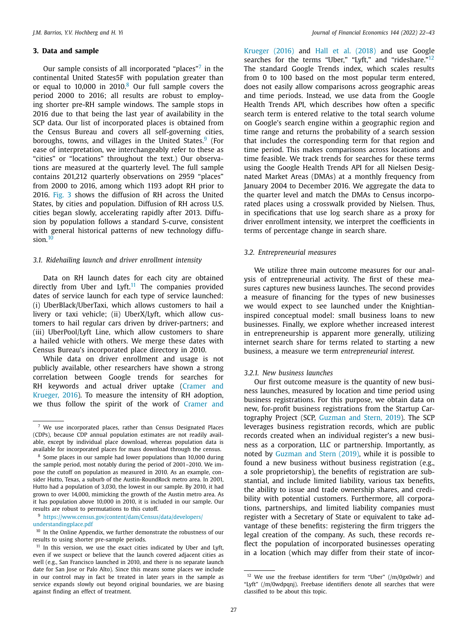#### **3. Data and sample**

Our sample consists of all incorporated "places"<sup>7</sup> in the continental United States5F with population greater than or equal to  $10,000$  in  $2010<sup>8</sup>$  Our full sample covers the period 2000 to 2016; all results are robust to employing shorter pre-RH sample windows. The sample stops in 2016 due to that being the last year of availability in the SCP data. Our list of incorporated places is obtained from the Census Bureau and covers all self-governing cities, boroughs, towns, and villages in the United States.<sup>9</sup> (For ease of interpretation, we interchangeably refer to these as "cities" or "locations" throughout the text.) Our observations are measured at the quarterly level. The full sample contains 201,212 quarterly observations on 2959 "places" from 2000 to 2016, among which 1193 adopt RH prior to 2016. Fig. 3 shows the diffusion of RH across the United States, by cities and population. Diffusion of RH across U.S. cities began slowly, accelerating rapidly after 2013. Diffusion by population follows a standard S-curve, consistent with general historical patterns of new technology diffusion.<sup>10</sup>

#### *3.1. Ridehailing launch and driver enrollment intensity*

Data on RH launch dates for each city are obtained directly from Uber and Lyft.<sup>11</sup> The companies provided dates of service launch for each type of service launched: (i) UberBlack/UberTaxi, which allows customers to hail a livery or taxi vehicle; (ii) UberX/Lyft, which allow customers to hail regular cars driven by driver-partners; and (iii) UberPool/Lyft Line, which allow customers to share a hailed vehicle with others. We merge these dates with Census Bureau's incorporated place directory in 2010.

While data on driver enrollment and usage is not publicly available, other researchers have shown a strong correlation between Google trends for searches for RH keywords and actual driver uptake (Cramer and Krueger, 2016). To measure the intensity of RH adoption, we thus follow the spirit of the work of Cramer and

<sup>9</sup> https://www.census.gov/content/dam/Census/data/developers/ understandingplace.pdf

<sup>10</sup> In the Online Appendix, we further demonstrate the robustness of our results to using shorter pre-sample periods.

Krueger (2016) and Hall et al. (2018) and use Google searches for the terms "Uber," "Lyft," and "rideshare."<sup>12</sup> The standard Google Trends index, which scales results from 0 to 100 based on the most popular term entered, does not easily allow comparisons across geographic areas and time periods. Instead, we use data from the Google Health Trends API, which describes how often a specific search term is entered relative to the total search volume on Google's search engine within a geographic region and time range and returns the probability of a search session that includes the corresponding term for that region and time period. This makes comparisons across locations and time feasible. We track trends for searches for these terms using the Google Health Trends API for all Nielsen Designated Market Areas (DMAs) at a monthly frequency from January 2004 to December 2016. We aggregate the data to the quarter level and match the DMAs to Census incorporated places using a crosswalk provided by Nielsen. Thus, in specifications that use log search share as a proxy for driver enrollment intensity, we interpret the coefficients in terms of percentage change in search share.

#### *3.2. Entrepreneurial measures*

We utilize three main outcome measures for our analysis of entrepreneurial activity. The first of these measures captures new business launches. The second provides a measure of financing for the types of new businesses we would expect to see launched under the Knightianinspired conceptual model: small business loans to new businesses. Finally, we explore whether increased interest in entrepreneurship is apparent more generally, utilizing internet search share for terms related to starting a new business, a measure we term *entrepreneurial interest.*

#### *3.2.1. New business launches*

Our first outcome measure is the quantity of new business launches, measured by location and time period using business registrations. For this purpose, we obtain data on new, for-profit business registrations from the Startup Cartography Project (SCP, Guzman and Stern, 2019). The SCP leverages business registration records, which are public records created when an individual register's a new business as a corporation, LLC or partnership. Importantly, as noted by Guzman and Stern (2019), while it is possible to found a new business without business registration (e.g., a sole proprietorship), the benefits of registration are substantial, and include limited liability, various tax benefits, the ability to issue and trade ownership shares, and credibility with potential customers. Furthermore, all corporations, partnerships, and limited liability companies must register with a Secretary of State or equivalent to take advantage of these benefits: registering the firm triggers the legal creation of the company. As such, these records reflect the population of incorporated businesses operating in a location (which may differ from their state of incor-

<sup>7</sup> We use incorporated places, rather than Census Designated Places (CDPs), because CDP annual population estimates are not readily available, except by individual place download, whereas population data is available for incorporated places for mass download through the census.

<sup>8</sup> Some places in our sample had lower populations than 10,000 during the sample period, most notably during the period of 2001–2010. We impose the cutoff on population as measured in 2010. As an example, consider Hutto, Texas, a suburb of the Austin-RoundRock metro area. In 2001, Hutto had a population of 3,030, the lowest in our sample. By 2010, it had grown to over 14,000, mimicking the growth of the Austin metro area. As it has population above 10,000 in 2010, it is included in our sample. Our results are robust to permutations to this cutoff.

 $11$  In this version, we use the exact cities indicated by Uber and Lyft, even if we suspect or believe that the launch covered adjacent cities as well (e.g., San Francisco launched in 2010, and there is no separate launch date for San Jose or Palo Alto). Since this means some places we include in our control may in fact be treated in later years in the sample as service expands slowly out beyond original boundaries, we are biasing against finding an effect of treatment.

<sup>12</sup> We use the freebase identifiers for term "Uber" (/m/0gx0wlr) and "Lyft" (/m/0wdpqnj). Freebase identifiers denote all searches that were classified to be about this topic.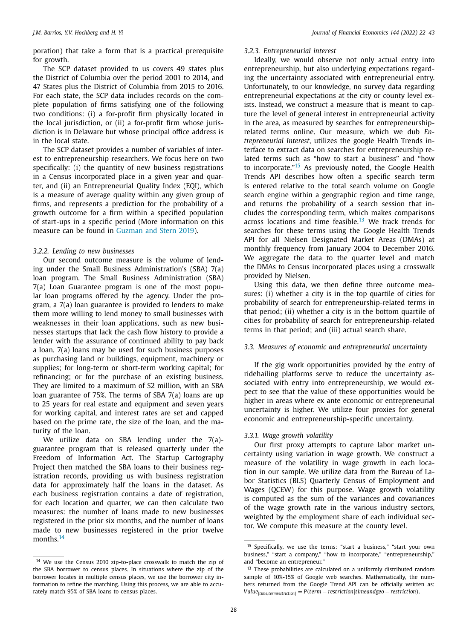poration) that take a form that is a practical prerequisite for growth.

The SCP dataset provided to us covers 49 states plus the District of Columbia over the period 2001 to 2014, and 47 States plus the District of Columbia from 2015 to 2016. For each state, the SCP data includes records on the complete population of firms satisfying one of the following two conditions: (i) a for-profit firm physically located in the local jurisdiction, or (ii) a for-profit firm whose jurisdiction is in Delaware but whose principal office address is in the local state.

The SCP dataset provides a number of variables of interest to entrepreneurship researchers. We focus here on two specifically: (i) the quantity of new business registrations in a Census incorporated place in a given year and quarter, and (ii) an Entrepreneurial Quality Index (EQI), which is a measure of average quality within any given group of firms, and represents a prediction for the probability of a growth outcome for a firm within a specified population of start-ups in a specific period (More information on this measure can be found in Guzman and Stern 2019).

#### *3.2.2. Lending to new businesses*

Our second outcome measure is the volume of lending under the Small Business Administration's (SBA) 7(a) loan program. The Small Business Administration (SBA) 7(a) Loan Guarantee program is one of the most popular loan programs offered by the agency. Under the program, a 7(a) loan guarantee is provided to lenders to make them more willing to lend money to small businesses with weaknesses in their loan applications, such as new businesses startups that lack the cash flow history to provide a lender with the assurance of continued ability to pay back a loan. 7(a) loans may be used for such business purposes as purchasing land or buildings, equipment, machinery or supplies; for long-term or short-term working capital; for refinancing; or for the purchase of an existing business. They are limited to a maximum of \$2 million, with an SBA loan guarantee of 75%. The terms of SBA 7(a) loans are up to 25 years for real estate and equipment and seven years for working capital, and interest rates are set and capped based on the prime rate, the size of the loan, and the maturity of the loan.

We utilize data on SBA lending under the 7(a)guarantee program that is released quarterly under the Freedom of Information Act. The Startup Cartography Project then matched the SBA loans to their business registration records, providing us with business registration data for approximately half the loans in the dataset. As each business registration contains a date of registration, for each location and quarter, we can then calculate two measures: the number of loans made to new businesses registered in the prior six months, and the number of loans made to new businesses registered in the prior twelve months.<sup>14</sup>

#### *3.2.3. Entrepreneurial interest*

Ideally, we would observe not only actual entry into entrepreneurship, but also underlying expectations regarding the uncertainty associated with entrepreneurial entry. Unfortunately, to our knowledge, no survey data regarding entrepreneurial expectations at the city or county level exists. Instead, we construct a measure that is meant to capture the level of general interest in entrepreneurial activity in the area, as measured by searches for entrepreneurshiprelated terms online. Our measure, which we dub *Entrepreneurial Interest*, utilizes the google Health Trends interface to extract data on searches for entrepreneurship related terms such as "how to start a business" and "how to incorporate."<sup>15</sup> As previously noted, the Google Health Trends API describes how often a specific search term is entered relative to the total search volume on Google search engine within a geographic region and time range, and returns the probability of a search session that includes the corresponding term, which makes comparisons across locations and time feasible. $13$  We track trends for searches for these terms using the Google Health Trends API for all Nielsen Designated Market Areas (DMAs) at monthly frequency from January 2004 to December 2016. We aggregate the data to the quarter level and match the DMAs to Census incorporated places using a crosswalk provided by Nielsen.

Using this data, we then define three outcome measures: (i) whether a city is in the top quartile of cities for probability of search for entrepreneurship-related terms in that period; (ii) whether a city is in the bottom quartile of cities for probability of search for entrepreneurship-related terms in that period; and (iii) actual search share.

## *3.3. Measures of economic and entrepreneurial uncertainty*

If the gig work opportunities provided by the entry of ridehailing platforms serve to reduce the uncertainty associated with entry into entrepreneurship, we would expect to see that the value of these opportunities would be higher in areas where ex ante economic or entrepreneurial uncertainty is higher. We utilize four proxies for general economic and entrepreneurship-specific uncertainty.

#### *3.3.1. Wage growth volatility*

Our first proxy attempts to capture labor market uncertainty using variation in wage growth. We construct a measure of the volatility in wage growth in each location in our sample. We utilize data from the Bureau of Labor Statistics (BLS) Quarterly Census of Employment and Wages (QCEW) for this purpose. Wage growth volatility is computed as the sum of the variances and covariances of the wage growth rate in the various industry sectors, weighted by the employment share of each individual sector. We compute this measure at the county level.

<sup>&</sup>lt;sup>14</sup> We use the Census 2010 zip-to-place crosswalk to match the zip of the SBA borrower to census places. In situations where the zip of the borrower locates in multiple census places, we use the borrower city information to refine the matching. Using this process, we are able to accurately match 95% of SBA loans to census places.

<sup>&</sup>lt;sup>15</sup> Specifically, we use the terms: "start a business," "start your own business," "start a company," "how to incorporate," "entrepreneurship," and "become an entrepreneur."

<sup>&</sup>lt;sup>13</sup> These probabilities are calculated on a uniformly distributed random sample of 10%-15% of Google web searches. Mathematically, the numbers returned from the Google Trend API can be officially written as: *Value*[*time*,*termrestriction*] = *P*(*term* − *restriction*|*timeandgeo* − *restriction*).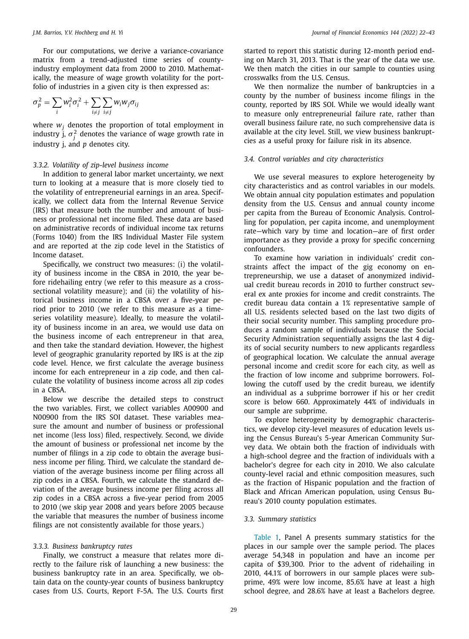For our computations, we derive a variance-covariance matrix from a trend-adjusted time series of countyindustry employment data from 2000 to 2010. Mathematically, the measure of wage growth volatility for the portfolio of industries in a given city is then expressed as:

$$
\sigma_p^2 = \sum_i w_i^2 \sigma_i^2 + \sum_{i \neq j} \sum_{i \neq j} w_i w_j \sigma_{ij}
$$

where *w<sup>j</sup>* denotes the proportion of total employment in industry j,  $\sigma_j^2$  denotes the variance of wage growth rate in industry j, and *p* denotes city.

#### *3.3.2. Volatility of zip-level business income*

In addition to general labor market uncertainty, we next turn to looking at a measure that is more closely tied to the volatility of entrepreneurial earnings in an area. Specifically, we collect data from the Internal Revenue Service (IRS) that measure both the number and amount of business or professional net income filed. These data are based on administrative records of individual income tax returns (Forms 1040) from the IRS Individual Master File system and are reported at the zip code level in the Statistics of Income dataset.

Specifically, we construct two measures: (i) the volatility of business income in the CBSA in 2010, the year before ridehailing entry (we refer to this measure as a crosssectional volatility measure); and (ii) the volatility of historical business income in a CBSA over a five-year period prior to 2010 (we refer to this measure as a timeseries volatility measure). Ideally, to measure the volatility of business income in an area, we would use data on the business income of each entrepreneur in that area, and then take the standard deviation. However, the highest level of geographic granularity reported by IRS is at the zip code level. Hence, we first calculate the average business income for each entrepreneur in a zip code, and then calculate the volatility of business income across all zip codes in a CBSA.

Below we describe the detailed steps to construct the two variables. First, we collect variables A00900 and N00900 from the IRS SOI dataset. These variables measure the amount and number of business or professional net income (less loss) filed, respectively. Second, we divide the amount of business or professional net income by the number of filings in a zip code to obtain the average business income per filing. Third, we calculate the standard deviation of the average business income per filing across all zip codes in a CBSA. Fourth, we calculate the standard deviation of the average business income per filing across all zip codes in a CBSA across a five-year period from 2005 to 2010 (we skip year 2008 and years before 2005 because the variable that measures the number of business income filings are not consistently available for those years.)

#### *3.3.3. Business bankruptcy rates*

Finally, we construct a measure that relates more directly to the failure risk of launching a new business: the business bankruptcy rate in an area. Specifically, we obtain data on the county-year counts of business bankruptcy cases from U.S. Courts, Report F-5A. The U.S. Courts first started to report this statistic during 12-month period ending on March 31, 2013. That is the year of the data we use. We then match the cities in our sample to counties using crosswalks from the U.S. Census.

We then normalize the number of bankruptcies in a county by the number of business income filings in the county, reported by IRS SOI. While we would ideally want to measure only entrepreneurial failure rate, rather than overall business failure rate, no such comprehensive data is available at the city level. Still, we view business bankruptcies as a useful proxy for failure risk in its absence.

#### *3.4. Control variables and city characteristics*

We use several measures to explore heterogeneity by city characteristics and as control variables in our models. We obtain annual city population estimates and population density from the U.S. Census and annual county income per capita from the Bureau of Economic Analysis. Controlling for population, per capita income, and unemployment rate—which vary by time and location—are of first order importance as they provide a proxy for specific concerning confounders.

To examine how variation in individuals' credit constraints affect the impact of the gig economy on entrepreneurship, we use a dataset of anonymized individual credit bureau records in 2010 to further construct several ex ante proxies for income and credit constraints. The credit bureau data contain a 1% representative sample of all U.S. residents selected based on the last two digits of their social security number. This sampling procedure produces a random sample of individuals because the Social Security Administration sequentially assigns the last 4 digits of social security numbers to new applicants regardless of geographical location. We calculate the annual average personal income and credit score for each city, as well as the fraction of low income and subprime borrowers. Following the cutoff used by the credit bureau, we identify an individual as a subprime borrower if his or her credit score is below 660. Approximately 44% of individuals in our sample are subprime.

To explore heterogeneity by demographic characteristics, we develop city-level measures of education levels using the Census Bureau's 5-year American Community Survey data. We obtain both the fraction of individuals with a high-school degree and the fraction of individuals with a bachelor's degree for each city in 2010. We also calculate county-level racial and ethnic composition measures, such as the fraction of Hispanic population and the fraction of Black and African American population, using Census Bureau's 2010 county population estimates.

#### *3.3. Summary statistics*

Table 1, Panel A presents summary statistics for the places in our sample over the sample period. The places average 54,348 in population and have an income per capita of \$39,300. Prior to the advent of ridehailing in 2010, 44.1% of borrowers in our sample places were subprime, 49% were low income, 85.6% have at least a high school degree, and 28.6% have at least a Bachelors degree.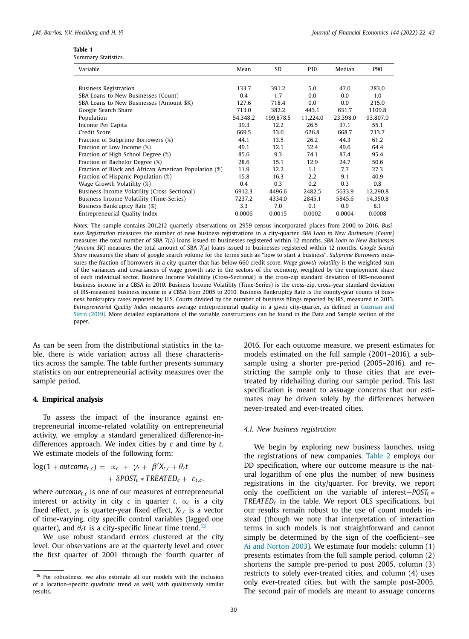| Table 1 |                     |
|---------|---------------------|
|         | Summary Statistics. |

| Variable                                              | Mean     | <b>SD</b> | P <sub>10</sub> | Median   | P90      |
|-------------------------------------------------------|----------|-----------|-----------------|----------|----------|
|                                                       |          |           |                 |          |          |
| <b>Business Registration</b>                          | 133.7    | 391.2     | 5.0             | 47.0     | 283.0    |
| SBA Loans to New Businesses (Count)                   | 0.4      | 1.7       | 0.0             | 0.0      | 1.0      |
| SBA Loans to New Businesses (Amount \$K)              | 127.6    | 718.4     | 0.0             | 0.0      | 215.0    |
| Google Search Share                                   | 713.0    | 382.2     | 443.1           | 631.7    | 1109.8   |
| Population                                            | 54,348.2 | 199,878.5 | 11,224.0        | 23,398.0 | 93,807.0 |
| Income Per Capita                                     | 39.3     | 12.2      | 26.5            | 37.1     | 55.1     |
| Credit Score                                          | 669.5    | 33.6      | 626.8           | 668.7    | 713.7    |
| Fraction of Subprime Borrowers (%)                    | 44.1     | 13.5      | 26.2            | 44.3     | 61.2     |
| Fraction of Low Income (%)                            | 49.1     | 12.1      | 32.4            | 49.6     | 64.4     |
| Fraction of High School Degree (%)                    | 85.6     | 9.3       | 74.1            | 87.4     | 95.4     |
| Fraction of Bachelor Degree (%)                       | 28.6     | 15.1      | 12.9            | 24.7     | 50.6     |
| Fraction of Black and African American Population (%) | 11.9     | 12.2      | 1.1             | 7.7      | 27.3     |
| Fraction of Hispanic Population (%)                   | 15.8     | 16.3      | 2.2             | 9.1      | 40.9     |
| Wage Growth Volatility (%)                            | 0.4      | 0.3       | 0.2             | 0.3      | 0.8      |
| Business Income Volatility (Cross-Sectional)          | 6912.3   | 4496.6    | 2482.5          | 5633.9   | 12,290.8 |
| Business Income Volatility (Time-Series)              | 7237.2   | 4334.0    | 2845.1          | 5845.6   | 14,350.8 |
| Business Bankruptcy Rate (%)                          | 3.3      | 7.0       | 0.1             | 0.9      | 8.1      |
| Entrepreneurial Quality Index                         | 0.0006   | 0.0015    | 0.0002          | 0.0004   | 0.0008   |

*Notes:* The sample contains 201,212 quarterly observations on 2959 census incorporated places from 2000 to 2016. *Business Registration* measures the number of new business registrations in a city-quarter. *SBA Loan to New Businesses (Count)* measures the total number of SBA 7(a) loans issued to businesses registered within 12 months. *SBA Loan to New Businesses (Amount \$K)* measures the total amount of SBA 7(a) loans issued to businesses registered within 12 months. *Google Search Share* measures the share of google search volume for the terms such as "how to start a business". *Subprime Borrowers* measures the fraction of borrowers in a city-quarter that has below 660 credit score. *Wage growth volatility* is the weighted sum of the variances and covariances of wage growth rate in the sectors of the economy, weighted by the employment share of each individual sector. Business Income Volatility (Cross-Sectional) is the cross-zip standard deviation of IRS-measured business income in a CBSA in 2010. Business Income Volatility (Time-Series) is the cross-zip, cross-year standard deviation of IRS-measured business income in a CBSA from 2005 to 2010. Business Bankruptcy Rate is the county-year counts of business bankruptcy cases reported by U.S. Courts divided by the number of business filings reported by IRS, measured in 2013. *Entrepreneurial Quality Index* measures average entrepreneurial quality in a given city-quarter, as defined in Guzman and Stern (2019). More detailed explanations of the variable constructions can be found in the Data and Sample section of the paper.

As can be seen from the distributional statistics in the table, there is wide variation across all these characteristics across the sample. The table further presents summary statistics on our entrepreneurial activity measures over the sample period.

#### **4. Empirical analysis**

To assess the impact of the insurance against entrepreneurial income-related volatility on entrepreneurial activity, we employ a standard generalized difference-indifferences approach. We index cities by *c* and time by *t*. We estimate models of the following form:

$$
log(1 + outcome_{t,c}) = \alpha_c + \gamma_t + \beta' X_{t,c} + \theta_c t + \delta POST_t * TREATED_c + \varepsilon_{t,c},
$$

where *outcomet*,*<sup>c</sup>* is one of our measures of entrepreneurial interest or activity in city  $c$  in quarter  $t$ ,  $\alpha_c$  is a city fixed effect,  $\gamma_t$  is quarter-year fixed effect,  $X_{t,c}$  is a vector of time-varying, city specific control variables (lagged one quarter), and  $\theta_c t$  is a city-specific linear time trend.<sup>13</sup>

We use robust standard errors clustered at the city level. Our observations are at the quarterly level and cover the first quarter of 2001 through the fourth quarter of 2016. For each outcome measure, we present estimates for models estimated on the full sample (2001–2016), a subsample using a shorter pre-period (2005–2016), and restricting the sample only to those cities that are evertreated by ridehailing during our sample period. This last specification is meant to assuage concerns that our estimates may be driven solely by the differences between never-treated and ever-treated cities.

#### *4.1. New business registration*

We begin by exploring new business launches, using the registrations of new companies. Table 2 employs our DD specification, where our outcome measure is the natural logarithm of one plus the number of new business registrations in the city/quarter. For brevity, we report only the coefficient on the variable of interest—*POST<sup>t</sup>* ∗ *TREATED<sup>c</sup>* in the table. We report OLS specifications, but our results remain robust to the use of count models instead (though we note that interpretation of interaction terms in such models is not straightforward and cannot simply be determined by the sign of the coefficient—see Ai and Norton 2003). We estimate four models: column (1) presents estimates from the full sample period, column (2) shortens the sample pre-period to post 2005, column (3) restricts to solely ever-treated cities, and column (4) uses only ever-treated cities, but with the sample post-2005. The second pair of models are meant to assuage concerns

<sup>&</sup>lt;sup>16</sup> For robustness, we also estimate all our models with the inclusion of a location-specific quadratic trend as well, with qualitatively similar results.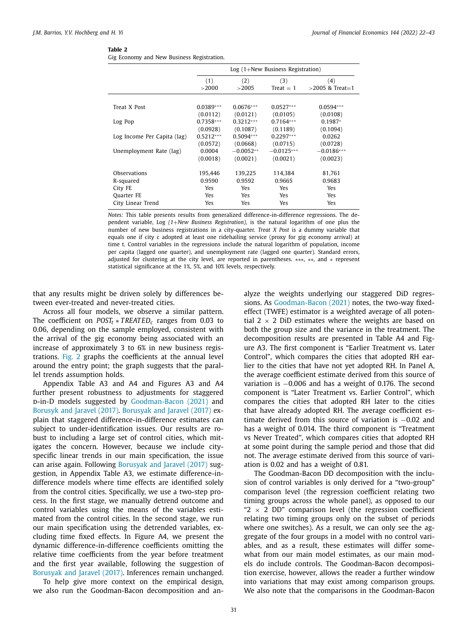| Gig Economy and New Business Registration. |  |  |  |
|--------------------------------------------|--|--|--|

|                             |              | $Log(1+New Business Region)$ |                    |                           |  |  |
|-----------------------------|--------------|------------------------------|--------------------|---------------------------|--|--|
|                             | (1)<br>>2000 | (2)<br>>2005                 | (3)<br>Treat $= 1$ | (4)<br>$>$ 2005 & Treat=1 |  |  |
|                             |              |                              |                    |                           |  |  |
| Treat X Post                | $0.0389***$  | $0.0676***$                  | $0.0527***$        | $0.0594***$               |  |  |
|                             | (0.0112)     | (0.0121)                     | (0.0105)           | (0.0108)                  |  |  |
| Log Pop                     | $0.7358***$  | $0.3212***$                  | $0.7164***$        | $0.1987*$                 |  |  |
|                             | (0.0928)     | (0.1087)                     | (0.1189)           | (0.1094)                  |  |  |
| Log Income Per Capita (lag) | $0.5212***$  | $0.5094***$                  | $0.2297***$        | 0.0262                    |  |  |
|                             | (0.0572)     | (0.0668)                     | (0.0715)           | (0.0728)                  |  |  |
| Unemployment Rate (lag)     | 0.0004       | $-0.0052**$                  | $-0.0125***$       | $-0.0186***$              |  |  |
|                             | (0.0018)     | (0.0021)                     | (0.0021)           | (0.0023)                  |  |  |
| Observations                | 195,446      | 139,225                      | 114,384            | 81,761                    |  |  |
| R-squared                   | 0.9590       | 0.9592                       | 0.9665             | 0.9683                    |  |  |
| City FE                     | Yes.         | Yes                          | Yes                | Yes                       |  |  |
| Ouarter FE                  | Yes.         | Yes.                         | <b>Yes</b>         | <b>Yes</b>                |  |  |
| City Linear Trend           | Yes          | Yes                          | Yes                | Yes                       |  |  |

*Notes:* This table presents results from generalized difference-in-difference regressions. The dependent variable, Log *(1*+*New Business Registration)*, is the natural logarithm of one plus the number of new business registrations in a city-quarter. *Treat X Post* is a dummy variable that equals one if city c adopted at least one ridehailing service (proxy for gig economy arrival) at time t. Control variables in the regressions include the natural logarithm of population, income per capita (lagged one quarter), and unemployment rate (lagged one quarter). Standard errors, adjusted for clustering at the city level, are reported in parentheses. ∗∗∗, ∗∗, and ∗ represent statistical significance at the 1%, 5%, and 10% levels, respectively.

that any results might be driven solely by differences between ever-treated and never-treated cities.

Across all four models, we observe a similar pattern. The coefficient on *POST<sup>t</sup>* ∗ *TREATED<sup>c</sup>* ranges from 0.03 to 0.06, depending on the sample employed, consistent with the arrival of the gig economy being associated with an increase of approximately 3 to 6% in new business registrations. Fig. 2 graphs the coefficients at the annual level around the entry point; the graph suggests that the parallel trends assumption holds.

Appendix Table A3 and A4 and Figures A3 and A4 further present robustness to adjustments for staggered d-in-D models suggested by Goodman-Bacon (2021) and Borusyk and Jaravel (2017). Borusyak and Jaravel (2017) explain that staggered difference-in-difference estimates can subject to under-identification issues. Our results are robust to including a large set of control cities, which mitigates the concern. However, because we include cityspecific linear trends in our main specification, the issue can arise again. Following Borusyak and Jaravel (2017) suggestion, in Appendix Table A3, we estimate difference-indifference models where time effects are identified solely from the control cities. Specifically, we use a two-step process. In the first stage, we manually detrend outcome and control variables using the means of the variables estimated from the control cities. In the second stage, we run our main specification using the detrended variables, excluding time fixed effects. In Figure A4, we present the dynamic difference-in-difference coefficients omitting the relative time coefficients from the year before treatment and the first year available, following the suggestion of Borusyak and Jaravel (2017). Inferences remain unchanged.

To help give more context on the empirical design, we also run the Goodman-Bacon decomposition and analyze the weights underlying our staggered DiD regressions. As Goodman-Bacon (2021) notes, the two-way fixedeffect (TWFE) estimator is a weighted average of all potential 2  $\times$  2 DiD estimates where the weights are based on both the group size and the variance in the treatment. The decomposition results are presented in Table A4 and Figure A3. The first component is "Earlier Treatment vs. Later Control", which compares the cities that adopted RH earlier to the cities that have not yet adopted RH. In Panel A, the average coefficient estimate derived from this source of variation is −0.006 and has a weight of 0.176. The second component is "Later Treatment vs. Earlier Control", which compares the cities that adopted RH later to the cities that have already adopted RH. The average coefficient estimate derived from this source of variation is −0.02 and has a weight of 0.014. The third component is "Treatment vs Never Treated", which compares cities that adopted RH at some point during the sample period and those that did not. The average estimate derived from this source of variation is 0.02 and has a weight of 0.81.

The Goodman-Bacon DD decomposition with the inclusion of control variables is only derived for a "two-group" comparison level (the regression coefficient relating two timing groups across the whole panel), as opposed to our " $2 \times 2$  DD" comparison level (the regression coefficient relating two timing groups only on the subset of periods where one switches). As a result, we can only see the aggregate of the four groups in a model with no control variables, and as a result, these estimates will differ somewhat from our main model estimates, as our main models do include controls. The Goodman-Bacon decomposition exercise, however, allows the reader a further window into variations that may exist among comparison groups. We also note that the comparisons in the Goodman-Bacon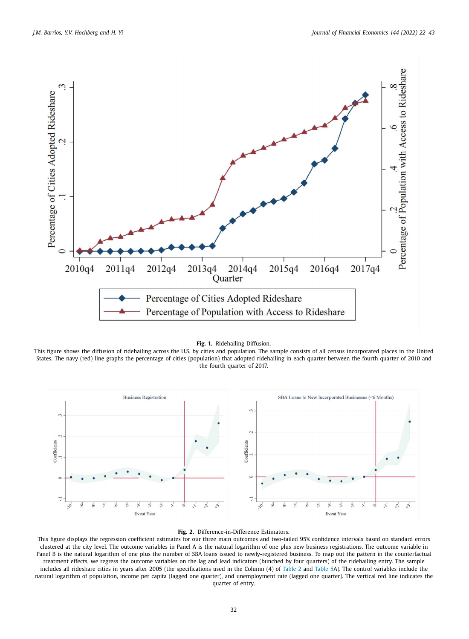

#### **Fig. 1.** Ridehailing Diffusion.

This figure shows the diffusion of ridehailing across the U.S. by cities and population. The sample consists of all census incorporated places in the United States. The navy (red) line graphs the percentage of cities (population) that adopted ridehailing in each quarter between the fourth quarter of 2010 and the fourth quarter of 2017.



#### **Fig. 2.** Difference-in-Difference Estimators.

This figure displays the regression coefficient estimates for our three main outcomes and two-tailed 95% confidence intervals based on standard errors clustered at the city level. The outcome variables in Panel A is the natural logarithm of one plus new business registrations. The outcome variable in Panel B is the natural logarithm of one plus the number of SBA loans issued to newly-registered business. To map out the pattern in the counterfactual treatment effects, we regress the outcome variables on the lag and lead indicators (bunched by four quarters) of the ridehailing entry. The sample includes all rideshare cities in years after 2005 (the specifications used in the Column (4) of Table 2 and Table 5A). The control variables include the natural logarithm of population, income per capita (lagged one quarter), and unemployment rate (lagged one quarter). The vertical red line indicates the quarter of entry.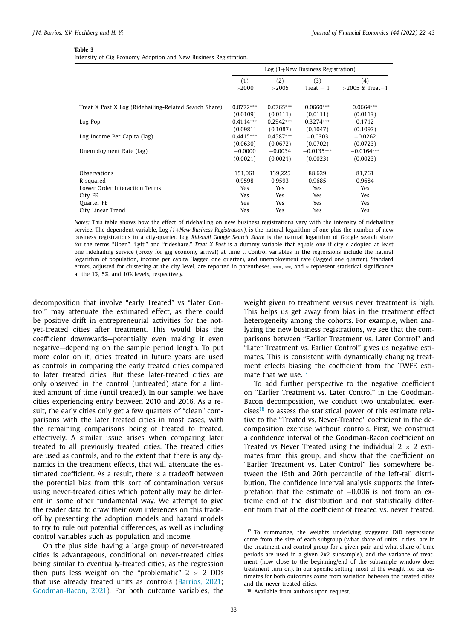Intensity of Gig Economy Adoption and New Business Registration.

|                                                       | $Log(1+New Business Region)$ |              |                    |                          |  |
|-------------------------------------------------------|------------------------------|--------------|--------------------|--------------------------|--|
|                                                       | (1)<br>>2000                 | (2)<br>>2005 | (3)<br>$Treat = 1$ | (4)<br>$>2005$ & Treat=1 |  |
|                                                       |                              |              |                    |                          |  |
| Treat X Post X Log (Ridehailing-Related Search Share) | $0.0772***$                  | $0.0765***$  | $0.0660***$        | $0.0664***$              |  |
|                                                       | (0.0109)                     | (0.0111)     | (0.0111)           | (0.0113)                 |  |
| Log Pop                                               | $0.4114***$                  | $0.2942***$  | $0.3274***$        | 0.1712                   |  |
|                                                       | (0.0981)                     | (0.1087)     | (0.1047)           | (0.1097)                 |  |
| Log Income Per Capita (lag)                           | $0.4415***$                  | $0.4587***$  | $-0.0303$          | $-0.0262$                |  |
|                                                       | (0.0630)                     | (0.0672)     | (0.0702)           | (0.0723)                 |  |
| Unemployment Rate (lag)                               | $-0.0000$                    | $-0.0034$    | $-0.0135***$       | $-0.0164***$             |  |
|                                                       | (0.0021)                     | (0.0021)     | (0.0023)           | (0.0023)                 |  |
| Observations                                          | 151,061                      | 139.225      | 88,629             | 81,761                   |  |
| R-squared                                             | 0.9598                       | 0.9593       | 0.9685             | 0.9684                   |  |
| Lower Order Interaction Terms                         | Yes                          | <b>Yes</b>   | Yes.               | Yes                      |  |
| City FE                                               | Yes                          | <b>Yes</b>   | Yes.               | Yes                      |  |
| <b>Ouarter FE</b>                                     | <b>Yes</b>                   | <b>Yes</b>   | Yes.               | <b>Yes</b>               |  |
| City Linear Trend                                     | Yes                          | Yes          | Yes                | Yes                      |  |

*Notes:* This table shows how the effect of ridehailing on new business registrations vary with the intensity of ridehailing service. The dependent variable, Log *(1*+*New Business Registration)*, is the natural logarithm of one plus the number of new business registrations in a city-quarter. Log *Ridehail Google Search Share* is the natural logarithm of Google search share for the terms "Uber," "Lyft," and "rideshare." *Treat X Post* is a dummy variable that equals one if city c adopted at least one ridehailing service (proxy for gig economy arrival) at time t. Control variables in the regressions include the natural logarithm of population, income per capita (lagged one quarter), and unemployment rate (lagged one quarter). Standard errors, adjusted for clustering at the city level, are reported in parentheses. ∗∗∗, ∗∗, and ∗ represent statistical significance at the 1%, 5%, and 10% levels, respectively.

decomposition that involve "early Treated" vs "later Control" may attenuate the estimated effect, as there could be positive drift in entrepreneurial activities for the notyet-treated cities after treatment. This would bias the coefficient downwards—potentially even making it even negative—depending on the sample period length. To put more color on it, cities treated in future years are used as controls in comparing the early treated cities compared to later treated cities. But these later-treated cities are only observed in the control (untreated) state for a limited amount of time (until treated). In our sample, we have cities experiencing entry between 2010 and 2016. As a result, the early cities only get a few quarters of "clean" comparisons with the later treated cities in most cases, with the remaining comparisons being of treated to treated, effectively. A similar issue arises when comparing later treated to all previously treated cities. The treated cities are used as controls, and to the extent that there is any dynamics in the treatment effects, that will attenuate the estimated coefficient. As a result, there is a tradeoff between the potential bias from this sort of contamination versus using never-treated cities which potentially may be different in some other fundamental way. We attempt to give the reader data to draw their own inferences on this tradeoff by presenting the adoption models and hazard models to try to rule out potential differences, as well as including control variables such as population and income.

On the plus side, having a large group of never-treated cities is advantageous, conditional on never-treated cities being similar to eventually-treated cities, as the regression then puts less weight on the "problematic"  $2 \times 2$  DDs that use already treated units as controls (Barrios, 2021; Goodman-Bacon, 2021). For both outcome variables, the weight given to treatment versus never treatment is high. This helps us get away from bias in the treatment effect heterogeneity among the cohorts. For example, when analyzing the new business registrations, we see that the comparisons between "Earlier Treatment vs. Later Control" and "Later Treatment vs. Earlier Control" gives us negative estimates. This is consistent with dynamically changing treatment effects biasing the coefficient from the TWFE estimate that we use.<sup>17</sup>

To add further perspective to the negative coefficient on "Earlier Treatment vs. Later Control" in the Goodman-Bacon decomposition, we conduct two untabulated exercises<sup>18</sup> to assess the statistical power of this estimate relative to the "Treated vs. Never-Treated" coefficient in the decomposition exercise without controls. First, we construct a confidence interval of the Goodman-Bacon coefficient on Treated vs Never Treated using the individual  $2 \times 2$  estimates from this group, and show that the coefficient on "Earlier Treatment vs. Later Control" lies somewhere between the 15th and 20th percentile of the left-tail distribution. The confidence interval analysis supports the interpretation that the estimate of −0.006 is not from an extreme end of the distribution and not statistically different from that of the coefficient of treated vs. never treated.

<sup>17</sup> To summarize, the weights underlying staggered DiD regressions come from the size of each subgroup (what share of units—cities—are in the treatment and control group for a given pair, and what share of time periods are used in a given 2x2 subsample), and the variance of treatment (how close to the beginning/end of the subsample window does treatment turn on). In our specific setting, most of the weight for our estimates for both outcomes come from variation between the treated cities and the never treated cities.

<sup>&</sup>lt;sup>18</sup> Available from authors upon request.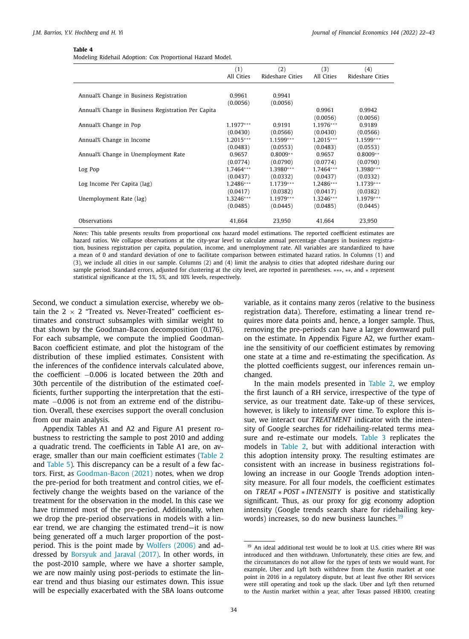Modeling Ridehail Adoption: Cox Proportional Hazard Model.

|                                                    | (1)         | (2)              | (3)         | (4)              |
|----------------------------------------------------|-------------|------------------|-------------|------------------|
|                                                    | All Cities  | Rideshare Cities | All Cities  | Rideshare Cities |
|                                                    |             |                  |             |                  |
| Annual% Change in Business Registration            | 0.9961      | 0.9941           |             |                  |
|                                                    | (0.0056)    | (0.0056)         |             |                  |
| Annual% Change in Business Registration Per Capita |             |                  | 0.9961      | 0.9942           |
|                                                    |             |                  | (0.0056)    | (0.0056)         |
| Annual% Change in Pop                              | $1.1977***$ | 0.9191           | $1.1976***$ | 0.9189           |
|                                                    | (0.0430)    | (0.0566)         | (0.0430)    | (0.0566)         |
| Annual% Change in Income                           | $1.2015***$ | $1.1599***$      | $1.2015***$ | 1.1599***        |
|                                                    | (0.0483)    | (0.0553)         | (0.0483)    | (0.0553)         |
| Annual% Change in Unemployment Rate                | 0.9657      | $0.8009**$       | 0.9657      | $0.8009**$       |
|                                                    | (0.0774)    | (0.0790)         | (0.0774)    | (0.0790)         |
| Log Pop                                            | $1.7464***$ | 1.3980***        | $1.7464***$ | 1.3980***        |
|                                                    | (0.0437)    | (0.0332)         | (0.0437)    | (0.0332)         |
| Log Income Per Capita (lag)                        | 1.2486***   | $1.1739***$      | 1.2486***   | 1.1739 ***       |
|                                                    | (0.0417)    | (0.0382)         | (0.0417)    | (0.0382)         |
| Unemployment Rate (lag)                            | $1.3246***$ | $1.1979***$      | $1.3246***$ | 1.1979***        |
|                                                    | (0.0485)    | (0.0445)         | (0.0485)    | (0.0445)         |
| Observations                                       | 41.664      | 23.950           | 41,664      | 23,950           |

*Notes:* This table presents results from proportional cox hazard model estimations. The reported coefficient estimates are hazard ratios. We collapse observations at the city-year level to calculate annual percentage changes in business registration, business registration per capita, population, income, and unemployment rate. All variables are standardized to have a mean of 0 and standard deviation of one to facilitate comparison between estimated hazard ratios. In Columns (1) and (3), we include all cities in our sample. Columns (2) and (4) limit the analysis to cities that adopted rideshare during our sample period. Standard errors, adjusted for clustering at the city level, are reported in parentheses. ∗∗∗, ∗∗, and ∗ represent statistical significance at the 1%, 5%, and 10% levels, respectively.

Second, we conduct a simulation exercise, whereby we obtain the  $2 \times 2$  "Treated vs. Never-Treated" coefficient estimates and construct subsamples with similar weight to that shown by the Goodman-Bacon decomposition (0.176). For each subsample, we compute the implied Goodman-Bacon coefficient estimate, and plot the histogram of the distribution of these implied estimates. Consistent with the inferences of the confidence intervals calculated above, the coefficient −0.006 is located between the 20th and 30th percentile of the distribution of the estimated coefficients, further supporting the interpretation that the estimate −0.006 is not from an extreme end of the distribution. Overall, these exercises support the overall conclusion from our main analysis.

Appendix Tables A1 and A2 and Figure A1 present robustness to restricting the sample to post 2010 and adding a quadratic trend. The coefficients in Table A1 are, on average, smaller than our main coefficient estimates (Table 2 and Table 5). This discrepancy can be a result of a few factors. First, as Goodman-Bacon (2021) notes, when we drop the pre-period for both treatment and control cities, we effectively change the weights based on the variance of the treatment for the observation in the model. In this case we have trimmed most of the pre-period. Additionally, when we drop the pre-period observations in models with a linear trend, we are changing the estimated trend—it is now being generated off a much larger proportion of the postperiod. This is the point made by Wolfers (2006) and addressed by Borsyuk and Jaraval (2017). In other words, in the post-2010 sample, where we have a shorter sample, we are now mainly using post-periods to estimate the linear trend and thus biasing our estimates down. This issue will be especially exacerbated with the SBA loans outcome variable, as it contains many zeros (relative to the business registration data). Therefore, estimating a linear trend requires more data points and, hence, a longer sample. Thus, removing the pre-periods can have a larger downward pull on the estimate. In Appendix Figure A2, we further examine the sensitivity of our coefficient estimates by removing one state at a time and re-estimating the specification. As the plotted coefficients suggest, our inferences remain unchanged.

In the main models presented in Table 2, we employ the first launch of a RH service, irrespective of the type of service, as our treatment date. Take-up of these services, however, is likely to intensify over time. To explore this issue, we interact our *TREATMENT* indicator with the intensity of Google searches for ridehailing-related terms measure and re-estimate our models. Table 3 replicates the models in Table 2, but with additional interaction with this adoption intensity proxy. The resulting estimates are consistent with an increase in business registrations following an increase in our Google Trends adoption intensity measure. For all four models, the coefficient estimates on *TREAT* ∗ *POST* ∗ *INTENSITY* is positive and statistically significant. Thus, as our proxy for gig economy adoption intensity (Google trends search share for ridehailing keywords) increases, so do new business launches.<sup>19</sup>

<sup>&</sup>lt;sup>19</sup> An ideal additional test would be to look at U.S. cities where RH was introduced and then withdrawn. Unfortunately, these cities are few, and the circumstances do not allow for the types of tests we would want. For example, Uber and Lyft both withdrew from the Austin market at one point in 2016 in a regulatory dispute, but at least five other RH services were still operating and took up the slack. Uber and Lyft then returned to the Austin market within a year, after Texas passed HB100, creating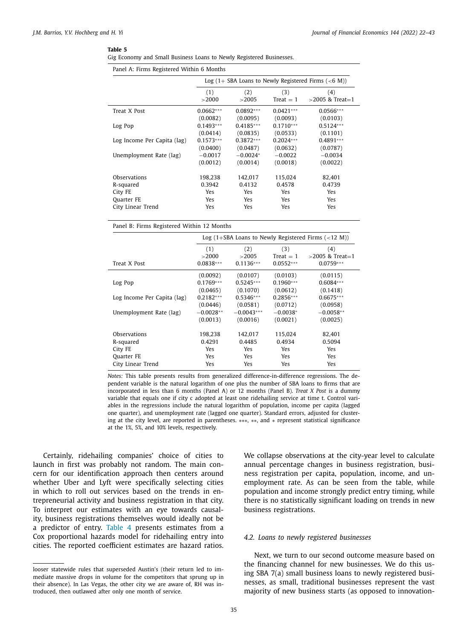|  |  |  |  | Gig Economy and Small Business Loans to Newly Registered Businesses. |
|--|--|--|--|----------------------------------------------------------------------|
|  |  |  |  |                                                                      |

| Panel A: Firms Registered Within 6 Months               |             |             |             |                    |  |  |
|---------------------------------------------------------|-------------|-------------|-------------|--------------------|--|--|
| Log $(1 + SBA$ Loans to Newly Registered Firms $(6 M))$ |             |             |             |                    |  |  |
|                                                         | (1)         | (2)         | (3)         | (4)                |  |  |
|                                                         | >2000       | >2005       | $Treat = 1$ | $>$ 2005 & Treat=1 |  |  |
| Treat X Post                                            | $0.0662***$ | $0.0892***$ | $0.0421***$ | $0.0566***$        |  |  |
|                                                         | (0.0082)    | (0.0095)    | (0.0093)    | (0.0103)           |  |  |
| Log Pop                                                 | $0.1493***$ | $0.4185***$ | $0.1710***$ | $0.5124***$        |  |  |
|                                                         | (0.0414)    | (0.0835)    | (0.0533)    | (0.1101)           |  |  |
| Log Income Per Capita (lag)                             | $0.1573***$ | $0.3872***$ | $0.2024***$ | $0.4891***$        |  |  |
|                                                         | (0.0400)    | (0.0487)    | (0.0632)    | (0.0787)           |  |  |
| Unemployment Rate (lag)                                 | $-0.0017$   | $-0.0024*$  | $-0.0022$   | $-0.0034$          |  |  |
|                                                         | (0.0012)    | (0.0014)    | (0.0018)    | (0.0022)           |  |  |
| Observations                                            | 198,238     | 142,017     | 115,024     | 82,401             |  |  |
| R-squared                                               | 0.3942      | 0.4132      | 0.4578      | 0.4739             |  |  |
| City FE                                                 | Yes         | Yes         | <b>Yes</b>  | <b>Yes</b>         |  |  |
| Quarter FE                                              | Yes         | Yes         | <b>Yes</b>  | <b>Yes</b>         |  |  |
| City Linear Trend                                       | Yes         | Yes         | Yes         | Yes                |  |  |

Panel B: Firms Registered Within 12 Months

|                             | Log $(1+SBA$ Loans to Newly Registered Firms $(<12$ M)) |                             |                                   |                                          |  |  |
|-----------------------------|---------------------------------------------------------|-----------------------------|-----------------------------------|------------------------------------------|--|--|
| Treat X Post                | (1)<br>>2000<br>$0.0838***$                             | (2)<br>>2005<br>$0.1136***$ | (3)<br>$Treat = 1$<br>$0.0552***$ | (4)<br>$>$ 2005 & Treat=1<br>$0.0759***$ |  |  |
|                             | (0.0092)                                                | (0.0107)                    | (0.0103)                          | (0.0115)                                 |  |  |
| Log Pop                     | $0.1769***$                                             | $0.5245***$                 | $0.1960***$                       | $0.6084***$                              |  |  |
|                             | (0.0465)                                                | (0.1070)                    | (0.0612)                          | (0.1418)                                 |  |  |
| Log Income Per Capita (lag) | $0.2182***$                                             | $0.5346***$                 | $0.2856***$                       | $0.6675***$                              |  |  |
|                             | (0.0446)                                                | (0.0581)                    | (0.0712)                          | (0.0958)                                 |  |  |
| Unemployment Rate (lag)     | $-0.0028**$                                             | $-0.0043***$                | $-0.0038*$                        | $-0.0058**$                              |  |  |
|                             | (0.0013)                                                | (0.0016)                    | (0.0021)                          | (0.0025)                                 |  |  |
| Observations                | 198.238                                                 | 142,017                     | 115.024                           | 82.401                                   |  |  |
| R-squared                   | 0.4291                                                  | 0.4485                      | 0.4934                            | 0.5094                                   |  |  |
| City FE                     | Yes                                                     | <b>Yes</b>                  | <b>Yes</b>                        | <b>Yes</b>                               |  |  |
| Quarter FE                  | <b>Yes</b>                                              | <b>Yes</b>                  | <b>Yes</b>                        | <b>Yes</b>                               |  |  |
| City Linear Trend           | Yes                                                     | Yes                         | <b>Yes</b>                        | <b>Yes</b>                               |  |  |

*Notes:* This table presents results from generalized difference-in-difference regressions. The dependent variable is the natural logarithm of one plus the number of SBA loans to firms that are incorporated in less than 6 months (Panel A) or 12 months (Panel B). *Treat X Post* is a dummy variable that equals one if city c adopted at least one ridehailing service at time t. Control variables in the regressions include the natural logarithm of population, income per capita (lagged one quarter), and unemployment rate (lagged one quarter). Standard errors, adjusted for clustering at the city level, are reported in parentheses. ∗∗∗, ∗∗, and ∗ represent statistical significance at the 1%, 5%, and 10% levels, respectively.

Certainly, ridehailing companies' choice of cities to launch in first was probably not random. The main concern for our identification approach then centers around whether Uber and Lyft were specifically selecting cities in which to roll out services based on the trends in entrepreneurial activity and business registration in that city. To interpret our estimates with an eye towards causality, business registrations themselves would ideally not be a predictor of entry. Table 4 presents estimates from a Cox proportional hazards model for ridehailing entry into cities. The reported coefficient estimates are hazard ratios. We collapse observations at the city-year level to calculate annual percentage changes in business registration, business registration per capita, population, income, and unemployment rate. As can be seen from the table, while population and income strongly predict entry timing, while there is no statistically significant loading on trends in new business registrations.

#### *4.2. Loans to newly registered businesses*

Next, we turn to our second outcome measure based on the financing channel for new businesses. We do this using SBA 7(a) small business loans to newly registered businesses, as small, traditional businesses represent the vast majority of new business starts (as opposed to innovation-

looser statewide rules that superseded Austin's (their return led to immediate massive drops in volume for the competitors that sprung up in their absence). In Las Vegas, the other city we are aware of, RH was introduced, then outlawed after only one month of service.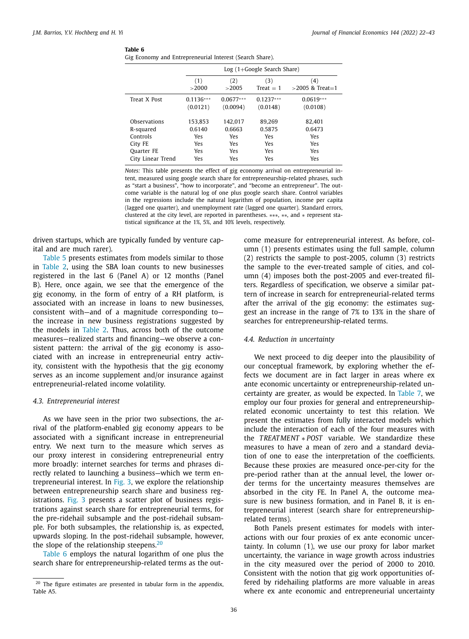|  |  |  | Gig Economy and Entrepreneurial Interest (Search Share). |  |  |  |
|--|--|--|----------------------------------------------------------|--|--|--|
|--|--|--|----------------------------------------------------------|--|--|--|

|                   |             | $Log(1+Google SearchShare)$ |             |                   |  |  |  |
|-------------------|-------------|-----------------------------|-------------|-------------------|--|--|--|
|                   | (1)         | (2)                         | (3)         | (4)               |  |  |  |
|                   | >2000       | >2005                       | $Treat = 1$ | $>2005$ & Treat=1 |  |  |  |
| Treat X Post      | $0.1136***$ | $0.0677***$                 | $0.1237***$ | $0.0619***$       |  |  |  |
|                   | (0.0121)    | (0.0094)                    | (0.0148)    | (0.0108)          |  |  |  |
| Observations      | 153.853     | 142.017                     | 89.269      | 82.401            |  |  |  |
| R-squared         | 0.6140      | 0.6663                      | 0.5875      | 0.6473            |  |  |  |
| Controls          | Yes         | Yes                         | Yes         | Yes               |  |  |  |
| City FE           | Yes         | Yes                         | Yes         | Yes               |  |  |  |
| <b>Ouarter FE</b> | Yes         | Yes                         | Yes         | Yes               |  |  |  |
| City Linear Trend | Yes         | Yes                         | Yes         | Yes               |  |  |  |

*Notes:* This table presents the effect of gig economy arrival on entrepreneurial intent, measured using google search share for entrepreneurship-related phrases, such as "start a business", "how to incorporate", and "become an entrepreneur". The outcome variable is the natural log of one plus google search share. Control variables in the regressions include the natural logarithm of population, income per capita (lagged one quarter), and unemployment rate (lagged one quarter). Standard errors, clustered at the city level, are reported in parentheses. ∗∗∗, ∗∗, and ∗ represent statistical significance at the 1%, 5%, and 10% levels, respectively.

driven startups, which are typically funded by venture capital and are much rarer).

Table 5 presents estimates from models similar to those in Table 2, using the SBA loan counts to new businesses registered in the last 6 (Panel A) or 12 months (Panel B). Here, once again, we see that the emergence of the gig economy, in the form of entry of a RH platform, is associated with an increase in loans to new businesses, consistent with—and of a magnitude corresponding to the increase in new business registrations suggested by the models in Table 2. Thus, across both of the outcome measures—realized starts and financing—we observe a consistent pattern: the arrival of the gig economy is associated with an increase in entrepreneurial entry activity, consistent with the hypothesis that the gig economy serves as an income supplement and/or insurance against entrepreneurial-related income volatility.

#### *4.3. Entrepreneurial interest*

As we have seen in the prior two subsections, the arrival of the platform-enabled gig economy appears to be associated with a significant increase in entrepreneurial entry. We next turn to the measure which serves as our proxy interest in considering entrepreneurial entry more broadly: internet searches for terms and phrases directly related to launching a business—which we term entrepreneurial interest. In Fig. 3, we explore the relationship between entrepreneurship search share and business registrations. Fig. 3 presents a scatter plot of business registrations against search share for entrepreneurial terms, for the pre-ridehail subsample and the post-ridehail subsample. For both subsamples, the relationship is, as expected, upwards sloping. In the post-ridehail subsample, however, the slope of the relationship steepens. $20$ 

Table 6 employs the natural logarithm of one plus the search share for entrepreneurship-related terms as the outcome measure for entrepreneurial interest. As before, column (1) presents estimates using the full sample, column (2) restricts the sample to post-2005, column (3) restricts the sample to the ever-treated sample of cities, and column (4) imposes both the post-2005 and ever-treated filters. Regardless of specification, we observe a similar pattern of increase in search for entrepreneurial-related terms after the arrival of the gig economy: the estimates suggest an increase in the range of 7% to 13% in the share of searches for entrepreneurship-related terms.

#### *4.4. Reduction in uncertainty*

We next proceed to dig deeper into the plausibility of our conceptual framework, by exploring whether the effects we document are in fact larger in areas where ex ante economic uncertainty or entrepreneurship-related uncertainty are greater, as would be expected. In Table 7, we employ our four proxies for general and entrepreneurshiprelated economic uncertainty to test this relation. We present the estimates from fully interacted models which include the interaction of each of the four measures with the *TREATMENT* ∗ *POST* variable. We standardize these measures to have a mean of zero and a standard deviation of one to ease the interpretation of the coefficients. Because these proxies are measured once-per-city for the pre-period rather than at the annual level, the lower order terms for the uncertainty measures themselves are absorbed in the city FE. In Panel A, the outcome measure is new business formation, and in Panel B, it is entrepreneurial interest (search share for entrepreneurshiprelated terms).

Both Panels present estimates for models with interactions with our four proxies of ex ante economic uncertainty. In column (1), we use our proxy for labor market uncertainty, the variance in wage growth across industries in the city measured over the period of 2000 to 2010. Consistent with the notion that gig work opportunities offered by ridehailing platforms are more valuable in areas where ex ante economic and entrepreneurial uncertainty

 $20$  The figure estimates are presented in tabular form in the appendix, Table A5.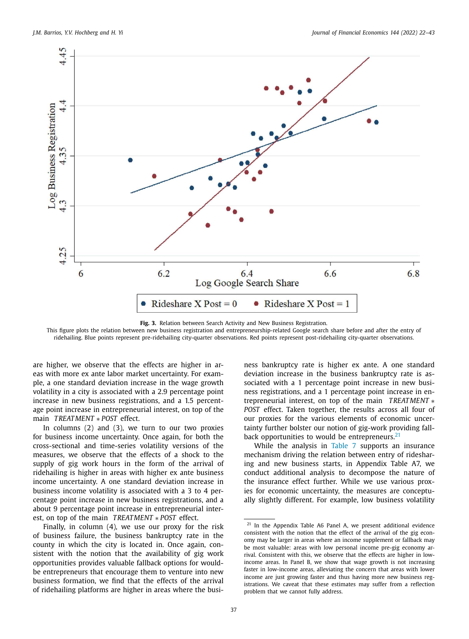

**Fig. 3.** Relation between Search Activity and New Business Registration.

This figure plots the relation between new business registration and entrepreneurship-related Google search share before and after the entry of ridehailing. Blue points represent pre-ridehailing city-quarter observations. Red points represent post-ridehailing city-quarter observations.

are higher, we observe that the effects are higher in areas with more ex ante labor market uncertainty. For example, a one standard deviation increase in the wage growth volatility in a city is associated with a 2.9 percentage point increase in new business registrations, and a 1.5 percentage point increase in entrepreneurial interest, on top of the main *TREATMENT* ∗ *POST* effect.

In columns (2) and (3), we turn to our two proxies for business income uncertainty. Once again, for both the cross-sectional and time-series volatility versions of the measures, we observe that the effects of a shock to the supply of gig work hours in the form of the arrival of ridehailing is higher in areas with higher ex ante business income uncertainty. A one standard deviation increase in business income volatility is associated with a 3 to 4 percentage point increase in new business registrations, and a about 9 percentage point increase in entrepreneurial interest, on top of the main *TREATMENT* ∗ *POST* effect.

Finally, in column (4), we use our proxy for the risk of business failure, the business bankruptcy rate in the county in which the city is located in. Once again, consistent with the notion that the availability of gig work opportunities provides valuable fallback options for wouldbe entrepreneurs that encourage them to venture into new business formation, we find that the effects of the arrival of ridehailing platforms are higher in areas where the business bankruptcy rate is higher ex ante. A one standard deviation increase in the business bankruptcy rate is associated with a 1 percentage point increase in new business registrations, and a 1 percentage point increase in entrepreneurial interest, on top of the main *TREATMENT* ∗ *POST* effect. Taken together, the results across all four of our proxies for the various elements of economic uncertainty further bolster our notion of gig-work providing fallback opportunities to would be entrepreneurs. $21$ 

While the analysis in Table 7 supports an insurance mechanism driving the relation between entry of ridesharing and new business starts, in Appendix Table A7, we conduct additional analysis to decompose the nature of the insurance effect further. While we use various proxies for economic uncertainty, the measures are conceptually slightly different. For example, low business volatility

<sup>21</sup> In the Appendix Table A6 Panel A, we present additional evidence consistent with the notion that the effect of the arrival of the gig economy may be larger in areas where an income supplement or fallback may be most valuable: areas with low personal income pre-gig economy arrival. Consistent with this, we observe that the effects are higher in lowincome areas. In Panel B, we show that wage growth is not increasing faster in low-income areas, alleviating the concern that areas with lower income are just growing faster and thus having more new business registrations. We caveat that these estimates may suffer from a reflection problem that we cannot fully address.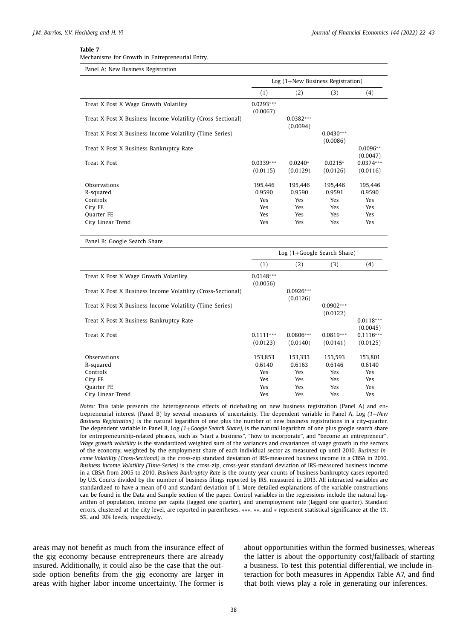Mechanisms for Growth in Entrepreneurial Entry.

| Panel A: New Business Registration                                                         |                                               |                                                             |                                                             |                                               |  |  |
|--------------------------------------------------------------------------------------------|-----------------------------------------------|-------------------------------------------------------------|-------------------------------------------------------------|-----------------------------------------------|--|--|
|                                                                                            | $Log(1+New Business Region)$                  |                                                             |                                                             |                                               |  |  |
|                                                                                            | (1)                                           | (2)                                                         | (3)                                                         | (4)                                           |  |  |
| Treat X Post X Wage Growth Volatility                                                      | $0.0293***$<br>(0.0067)                       |                                                             |                                                             |                                               |  |  |
| Treat X Post X Business Income Volatility (Cross-Sectional)                                |                                               | $0.0382***$<br>(0.0094)                                     |                                                             |                                               |  |  |
| Treat X Post X Business Income Volatility (Time-Series)                                    |                                               |                                                             | $0.0430***$<br>(0.0086)                                     |                                               |  |  |
| Treat X Post X Business Bankruptcy Rate                                                    |                                               |                                                             |                                                             | $0.0096**$<br>(0.0047)                        |  |  |
| Treat X Post                                                                               | $0.0339***$<br>(0.0115)                       | $0.0240*$<br>(0.0129)                                       | $0.0215*$<br>(0.0126)                                       | $0.0374***$<br>(0.0116)                       |  |  |
| Observations<br>R-squared<br>Controls<br>City FE<br><b>Ouarter FE</b><br>City Linear Trend | 195.446<br>0.9590<br>Yes<br>Yes<br>Yes<br>Yes | 195,446<br>0.9590<br><b>Yes</b><br>Yes<br><b>Yes</b><br>Yes | 195.446<br>0.9591<br><b>Yes</b><br><b>Yes</b><br>Yes<br>Yes | 195.446<br>0.9590<br>Yes<br>Yes<br>Yes<br>Yes |  |  |

Panel B: Google Search Share

|                                                             | $Log(1+Google SearchShare)$ |                         |                         |                         |  |  |
|-------------------------------------------------------------|-----------------------------|-------------------------|-------------------------|-------------------------|--|--|
|                                                             | (1)                         | (2)                     | (3)                     | (4)                     |  |  |
| Treat X Post X Wage Growth Volatility                       | $0.0148***$<br>(0.0056)     |                         |                         |                         |  |  |
| Treat X Post X Business Income Volatility (Cross-Sectional) |                             | $0.0926***$<br>(0.0126) |                         |                         |  |  |
| Treat X Post X Business Income Volatility (Time-Series)     |                             |                         | $0.0902***$<br>(0.0122) |                         |  |  |
| Treat X Post X Business Bankruptcy Rate                     |                             |                         |                         | $0.0118***$<br>(0.0045) |  |  |
| Treat X Post                                                | $0.1111***$<br>(0.0123)     | $0.0806***$<br>(0.0140) | $0.0819***$<br>(0.0141) | $0.1116***$<br>(0.0125) |  |  |
| Observations                                                | 153,853                     | 153,333                 | 153,593                 | 153,801                 |  |  |
| R-squared                                                   | 0.6140                      | 0.6163                  | 0.6146                  | 0.6140                  |  |  |
| Controls                                                    | Yes                         | Yes                     | Yes                     | <b>Yes</b>              |  |  |
| City FE                                                     | Yes                         | Yes                     | Yes                     | Yes                     |  |  |
| Quarter FE                                                  | Yes                         | <b>Yes</b>              | <b>Yes</b>              | <b>Yes</b>              |  |  |
| City Linear Trend                                           | Yes                         | Yes                     | Yes                     | Yes                     |  |  |

*Notes:* This table presents the heterogeneous effects of ridehailing on new business registration (Panel A) and entrepreneurial interest (Panel B) by several measures of uncertainty. The dependent variable in Panel A, Log *(1*+*New Business Registration),* is the natural logarithm of one plus the number of new business registrations in a city-quarter. The dependent variable in Panel B, Log *(1*+*Google Search Share),* is the natural logarithm of one plus google search share for entrepreneurship-related phrases, such as "start a business", "how to incorporate", and "become an entrepreneur". *Wage growth volatility* is the standardized weighted sum of the variances and covariances of wage growth in the sectors of the economy, weighted by the employment share of each individual sector as measured up until 2010. *Business Income Volatility (Cross-Sectional)* is the cross-zip standard deviation of IRS-measured business income in a CBSA in 2010. *Business Income Volatility (Time-Series)* is the cross-zip, cross-year standard deviation of IRS-measured business income in a CBSA from 2005 to 2010. *Business Bankruptcy Rate* is the county-year counts of business bankruptcy cases reported by U.S. Courts divided by the number of business filings reported by IRS, measured in 2013. All interacted variables are standardized to have a mean of 0 and standard deviation of 1. More detailed explanations of the variable constructions can be found in the Data and Sample section of the paper. Control variables in the regressions include the natural logarithm of population, income per capita (lagged one quarter), and unemployment rate (lagged one quarter). Standard errors, clustered at the city level, are reported in parentheses. ∗∗∗, ∗∗, and ∗ represent statistical significance at the 1%, 5%, and 10% levels, respectively.

areas may not benefit as much from the insurance effect of the gig economy because entrepreneurs there are already insured. Additionally, it could also be the case that the outside option benefits from the gig economy are larger in areas with higher labor income uncertainty. The former is about opportunities within the formed businesses, whereas the latter is about the opportunity cost/fallback of starting a business. To test this potential differential, we include interaction for both measures in Appendix Table A7, and find that both views play a role in generating our inferences.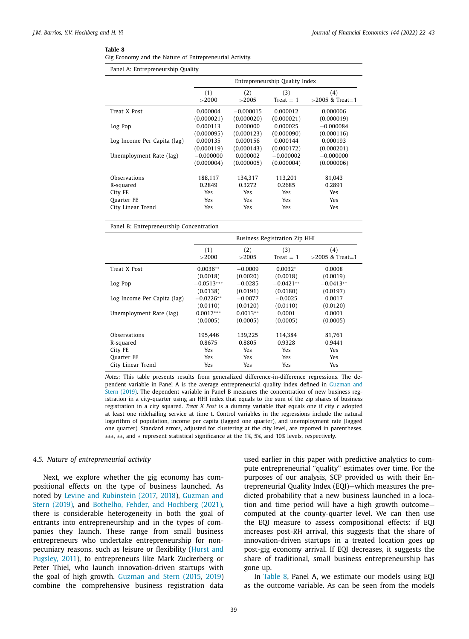|  |  |  |  |  |  | Gig Economy and the Nature of Entrepreneurial Activity. |  |
|--|--|--|--|--|--|---------------------------------------------------------|--|
|--|--|--|--|--|--|---------------------------------------------------------|--|

Panel A: Entrepreneurship Quality

|                             | Entrepreneurship Quality Index |                   |             |                   |  |  |  |  |  |
|-----------------------------|--------------------------------|-------------------|-------------|-------------------|--|--|--|--|--|
|                             | (1)                            | (2)<br>(3)<br>(4) |             |                   |  |  |  |  |  |
|                             | >2000                          | >2005             | $Treat = 1$ | $>2005$ & Treat=1 |  |  |  |  |  |
| Treat X Post                | 0.000004                       | $-0.000015$       | 0.000012    | 0.000006          |  |  |  |  |  |
|                             | (0.000021)                     | (0.000020)        | (0.000021)  | (0.000019)        |  |  |  |  |  |
| Log Pop                     | 0.000113                       | 0.000000          | 0.000025    | $-0.000084$       |  |  |  |  |  |
|                             | (0.000095)                     | (0.000123)        | (0.000090)  | (0.000116)        |  |  |  |  |  |
| Log Income Per Capita (lag) | 0.000135                       | 0.000156          | 0.000144    | 0.000193          |  |  |  |  |  |
|                             | (0.000119)                     | (0.000143)        | (0.000172)  | (0.000201)        |  |  |  |  |  |
| Unemployment Rate (lag)     | $-0.000000$                    | 0.000002          | $-0.000002$ | $-0.000000$       |  |  |  |  |  |
|                             | (0.000004)                     | (0.000005)        | (0.000004)  | (0.000006)        |  |  |  |  |  |
|                             |                                |                   |             |                   |  |  |  |  |  |
| Observations                | 188,117                        | 134.317           | 113,201     | 81,043            |  |  |  |  |  |
| R-squared                   | 0.2849                         | 0.3272            | 0.2685      | 0.2891            |  |  |  |  |  |
| City FE                     | Yes                            | Yes               | Yes         | <b>Yes</b>        |  |  |  |  |  |
| Quarter FE                  | Yes                            | <b>Yes</b>        | <b>Yes</b>  | <b>Yes</b>        |  |  |  |  |  |
| City Linear Trend           | Yes                            | Yes.              | <b>Yes</b>  | <b>Yes</b>        |  |  |  |  |  |
|                             |                                |                   |             |                   |  |  |  |  |  |

Panel B: Entrepreneurship Concentration

|                             | <b>Business Registration Zip HHI</b> |              |                    |                          |  |  |  |
|-----------------------------|--------------------------------------|--------------|--------------------|--------------------------|--|--|--|
|                             | (1)<br>>2000                         | (2)<br>>2005 | (3)<br>$Treat = 1$ | (4)<br>$>2005$ & Treat=1 |  |  |  |
| Treat X Post                | $0.0036**$                           | $-0.0009$    | $0.0032*$          | 0.0008                   |  |  |  |
|                             | (0.0018)                             | (0.0020)     | (0.0018)           | (0.0019)                 |  |  |  |
| Log Pop                     | $-0.0513***$                         | $-0.0285$    | $-0.0421**$        | $-0.0413**$              |  |  |  |
|                             | (0.0138)                             | (0.0191)     | (0.0180)           | (0.0197)                 |  |  |  |
| Log Income Per Capita (lag) | $-0.0226**$                          | $-0.0077$    | $-0.0025$          | 0.0017                   |  |  |  |
|                             | (0.0110)                             | (0.0120)     | (0.0110)           | (0.0120)                 |  |  |  |
| Unemployment Rate (lag)     | $0.0017***$                          | $0.0013**$   | 0.0001             | 0.0001                   |  |  |  |
|                             | (0.0005)                             | (0.0005)     | (0.0005)           | (0.0005)                 |  |  |  |
| Observations                | 195.446                              | 139.225      | 114.384            | 81,761                   |  |  |  |
| R-squared                   | 0.8675                               | 0.8805       | 0.9328             | 0.9441                   |  |  |  |
| City FE                     | Yes                                  | Yes.         | Yes.               | Yes                      |  |  |  |
| <b>Ouarter FE</b>           | Yes                                  | Yes.         | Yes.               | <b>Yes</b>               |  |  |  |
| City Linear Trend           | Yes                                  | Yes          | Yes.               | <b>Yes</b>               |  |  |  |

*Notes:* This table presents results from generalized difference-in-difference regressions. The dependent variable in Panel A is the average entrepreneurial quality index defined in Guzman and Stern (2019). The dependent variable in Panel B measures the concentration of new business registration in a city-quarter using an HHI index that equals to the sum of the zip shares of business registration in a city squared. *Treat X Post* is a dummy variable that equals one if city c adopted at least one ridehailing service at time t. Control variables in the regressions include the natural logarithm of population, income per capita (lagged one quarter), and unemployment rate (lagged one quarter). Standard errors, adjusted for clustering at the city level, are reported in parentheses. ∗∗∗, ∗∗, and ∗ represent statistical significance at the 1%, 5%, and 10% levels, respectively.

#### *4.5. Nature of entrepreneurial activity*

Next, we explore whether the gig economy has compositional effects on the type of business launched. As noted by Levine and Rubinstein (2017, 2018), Guzman and Stern (2019), and Bothelho, Fehder, and Hochberg (2021), there is considerable heterogeneity in both the goal of entrants into entrepreneurship and in the types of companies they launch. These range from small business entrepreneurs who undertake entrepreneurship for nonpecuniary reasons, such as leisure or flexibility (Hurst and Pugsley, 2011), to entrepreneurs like Mark Zuckerberg or Peter Thiel, who launch innovation-driven startups with the goal of high growth. Guzman and Stern (2015, 2019) combine the comprehensive business registration data used earlier in this paper with predictive analytics to compute entrepreneurial "quality" estimates over time. For the purposes of our analysis, SCP provided us with their Entrepreneurial Quality Index (EQI)—which measures the predicted probability that a new business launched in a location and time period will have a high growth outcome computed at the county-quarter level. We can then use the EQI measure to assess compositional effects: if EQI increases post-RH arrival, this suggests that the share of innovation-driven startups in a treated location goes up post-gig economy arrival. If EQI decreases, it suggests the share of traditional, small business entrepreneurship has gone up.

In Table 8, Panel A, we estimate our models using EQI as the outcome variable. As can be seen from the models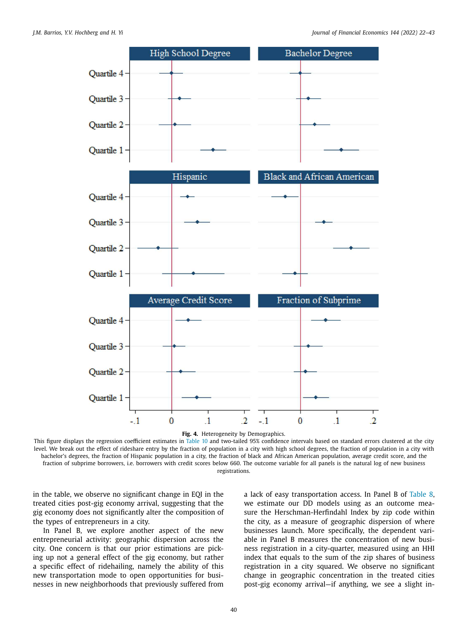

**Fig. 4.** Heterogeneity by Demographics.

This figure displays the regression coefficient estimates in Table 10 and two-tailed 95% confidence intervals based on standard errors clustered at the city level. We break out the effect of rideshare entry by the fraction of population in a city with high school degrees, the fraction of population in a city with bachelor's degrees, the fraction of Hispanic population in a city, the fraction of black and African American population, average credit score, and the fraction of subprime borrowers, i.e. borrowers with credit scores below 660. The outcome variable for all panels is the natural log of new business registrations.

in the table, we observe no significant change in EQI in the treated cities post-gig economy arrival, suggesting that the gig economy does not significantly alter the composition of the types of entrepreneurs in a city.

In Panel B, we explore another aspect of the new entrepreneurial activity: geographic dispersion across the city. One concern is that our prior estimations are picking up not a general effect of the gig economy, but rather a specific effect of ridehailing, namely the ability of this new transportation mode to open opportunities for businesses in new neighborhoods that previously suffered from a lack of easy transportation access. In Panel B of Table 8, we estimate our DD models using as an outcome measure the Herschman-Herfindahl Index by zip code within the city, as a measure of geographic dispersion of where businesses launch. More specifically, the dependent variable in Panel B measures the concentration of new business registration in a city-quarter, measured using an HHI index that equals to the sum of the zip shares of business registration in a city squared. We observe no significant change in geographic concentration in the treated cities post-gig economy arrival—if anything, we see a slight in-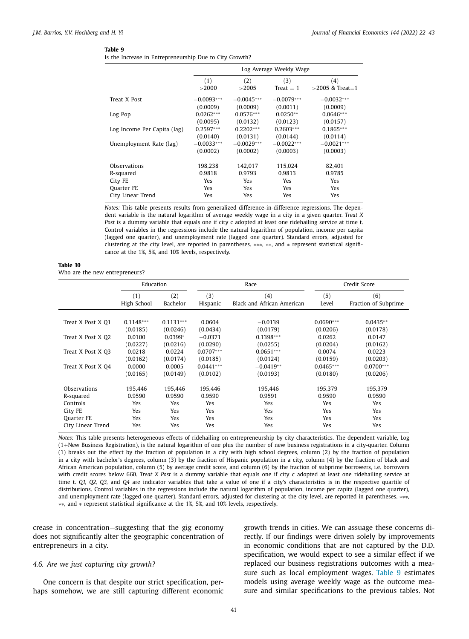|  |  |  |  | Is the Increase in Entrepreneurship Due to City Growth? |  |  |  |  |
|--|--|--|--|---------------------------------------------------------|--|--|--|--|
|--|--|--|--|---------------------------------------------------------|--|--|--|--|

|                             | Log Average Weekly Wage |              |                    |                          |  |  |  |
|-----------------------------|-------------------------|--------------|--------------------|--------------------------|--|--|--|
|                             | (1)<br>>2000            | (2)<br>>2005 | (3)<br>$Treat = 1$ | (4)<br>$>2005$ & Treat=1 |  |  |  |
| Treat X Post                | $-0.0093***$            | $-0.0045***$ | $-0.0079***$       | $-0.0032***$             |  |  |  |
|                             | (0.0009)                | (0.0009)     | (0.0011)           | (0.0009)                 |  |  |  |
| Log Pop                     | $0.0262***$             | $0.0576***$  | $0.0250**$         | $0.0646***$              |  |  |  |
|                             | (0.0095)                | (0.0132)     | (0.0123)           | (0.0157)                 |  |  |  |
| Log Income Per Capita (lag) | $0.2597***$             | $0.2202***$  | $0.2603***$        | $0.1865***$              |  |  |  |
|                             | (0.0140)                | (0.0131)     | (0.0144)           | (0.0114)                 |  |  |  |
| Unemployment Rate (lag)     | $-0.0033***$            | $-0.0029***$ | $-0.0022***$       | $-0.0021***$             |  |  |  |
|                             | (0.0002)                | (0.0002)     | (0.0003)           | (0.0003)                 |  |  |  |
| Observations                | 198.238                 | 142.017      | 115.024            | 82.401                   |  |  |  |
| R-squared                   | 0.9818                  | 0.9793       | 0.9813             | 0.9785                   |  |  |  |
| City FE                     | Yes                     | <b>Yes</b>   | Yes                | Yes                      |  |  |  |
| Quarter FE                  | Yes                     | <b>Yes</b>   | Yes                | <b>Yes</b>               |  |  |  |
| City Linear Trend           | Yes                     | Yes          | Yes                | Yes                      |  |  |  |

*Notes:* This table presents results from generalized difference-in-difference regressions. The dependent variable is the natural logarithm of average weekly wage in a city in a given quarter. *Treat X Post* is a dummy variable that equals one if city c adopted at least one ridehailing service at time t. Control variables in the regressions include the natural logarithm of population, income per capita (lagged one quarter), and unemployment rate (lagged one quarter). Standard errors, adjusted for clustering at the city level, are reported in parentheses. ∗∗∗, ∗∗, and ∗ represent statistical significance at the 1%, 5%, and 10% levels, respectively.

#### **Table 10** Who are the new entrepreneurs?

|                   | Education   |             |             | Race                       | Credit Score |                      |  |
|-------------------|-------------|-------------|-------------|----------------------------|--------------|----------------------|--|
|                   | (1)         | (2)         | (3)         | (4)                        | (5)          | (6)                  |  |
|                   | High School | Bachelor    | Hispanic    | Black and African American | Level        | Fraction of Subprime |  |
| Treat X Post X 01 | $0.1148***$ | $0.1131***$ | 0.0604      | $-0.0139$                  | $0.0690***$  | $0.0435**$           |  |
|                   | (0.0185)    | (0.0246)    | (0.0434)    | (0.0179)                   | (0.0206)     | (0.0178)             |  |
| Treat X Post X O2 | 0.0100      | $0.0399*$   | $-0.0371$   | $0.1398***$                | 0.0262       | 0.0147               |  |
|                   | (0.0227)    | (0.0216)    | (0.0290)    | (0.0255)                   | (0.0204)     | (0.0162)             |  |
| Treat X Post X 03 | 0.0218      | 0.0224      | $0.0707***$ | $0.0651***$                | 0.0074       | 0.0223               |  |
|                   | (0.0162)    | (0.0174)    | (0.0185)    | (0.0124)                   | (0.0159)     | (0.0203)             |  |
| Treat X Post X 04 | 0.0000      | 0.0005      | $0.0441***$ | $-0.0419**$                | $0.0465***$  | $0.0700***$          |  |
|                   | (0.0165)    | (0.0149)    | (0.0102)    | (0.0193)                   | (0.0180)     | (0.0206)             |  |
| Observations      | 195.446     | 195.446     | 195.446     | 195.446                    | 195,379      | 195,379              |  |
| R-squared         | 0.9590      | 0.9590      | 0.9590      | 0.9591                     | 0.9590       | 0.9590               |  |
| Controls          | <b>Yes</b>  | Yes         | <b>Yes</b>  | <b>Yes</b>                 | Yes          | <b>Yes</b>           |  |
| City FE           | <b>Yes</b>  | Yes         | Yes         | <b>Yes</b>                 | Yes          | Yes                  |  |
| Ouarter FE        | <b>Yes</b>  | Yes         | Yes         | <b>Yes</b>                 | Yes          | Yes                  |  |
| City Linear Trend | Yes         | Yes         | Yes         | Yes                        | Yes          | Yes                  |  |

*Notes:* This table presents heterogeneous effects of ridehailing on entrepreneurship by city characteristics. The dependent variable, Log (1+New Business Registration), is the natural logarithm of one plus the number of new business registrations in a city-quarter. Column (1) breaks out the effect by the fraction of population in a city with high school degrees, column (2) by the fraction of population in a city with bachelor's degrees, column (3) by the fraction of Hispanic population in a city, column (4) by the fraction of black and African American population, column (5) by average credit score, and column (6) by the fraction of subprime borrowers, i.e. borrowers with credit scores below 660. *Treat X Post* is a dummy variable that equals one if city c adopted at least one ridehailing service at time t. *Q1, Q2, Q3,* and *Q4* are indicator variables that take a value of one if a city's characteristics is in the respective quartile of distributions. Control variables in the regressions include the natural logarithm of population, income per capita (lagged one quarter), and unemployment rate (lagged one quarter). Standard errors, adjusted for clustering at the city level, are reported in parentheses. ∗∗∗, ∗∗, and ∗ represent statistical significance at the 1%, 5%, and 10% levels, respectively.

crease in concentration—suggesting that the gig economy does not significantly alter the geographic concentration of entrepreneurs in a city.

#### *4.6. Are we just capturing city growth?*

One concern is that despite our strict specification, perhaps somehow, we are still capturing different economic growth trends in cities. We can assuage these concerns directly. If our findings were driven solely by improvements in economic conditions that are not captured by the D.D. specification, we would expect to see a similar effect if we replaced our business registrations outcomes with a measure such as local employment wages. Table 9 estimates models using average weekly wage as the outcome measure and similar specifications to the previous tables. Not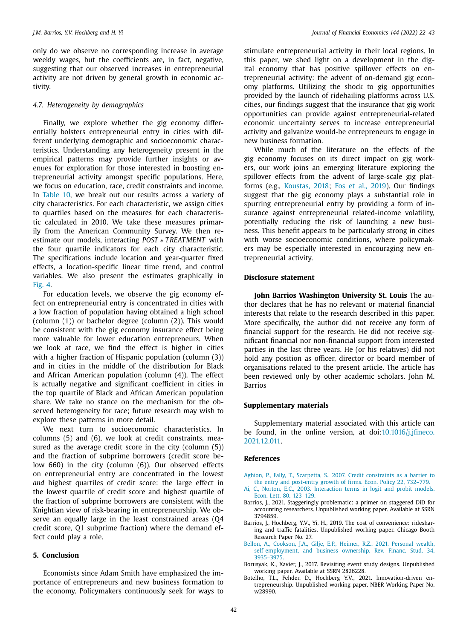only do we observe no corresponding increase in average weekly wages, but the coefficients are, in fact, negative, suggesting that our observed increases in entrepreneurial activity are not driven by general growth in economic activity.

#### *4.7. Heterogeneity by demographics*

Finally, we explore whether the gig economy differentially bolsters entrepreneurial entry in cities with different underlying demographic and socioeconomic characteristics. Understanding any heterogeneity present in the empirical patterns may provide further insights or avenues for exploration for those interested in boosting entrepreneurial activity amongst specific populations. Here, we focus on education, race, credit constraints and income. In Table 10, we break out our results across a variety of city characteristics. For each characteristic, we assign cities to quartiles based on the measures for each characteristic calculated in 2010. We take these measures primarily from the American Community Survey. We then reestimate our models, interacting *POST* ∗ *TREATMENT* with the four quartile indicators for each city characteristic. The specifications include location and year-quarter fixed effects, a location-specific linear time trend, and control variables. We also present the estimates graphically in Fig. 4.

For education levels, we observe the gig economy effect on entrepreneurial entry is concentrated in cities with a low fraction of population having obtained a high school (column (1)) or bachelor degree (column (2)). This would be consistent with the gig economy insurance effect being more valuable for lower education entrepreneurs. When we look at race, we find the effect is higher in cities with a higher fraction of Hispanic population (column (3)) and in cities in the middle of the distribution for Black and African American population (column (4)). The effect is actually negative and significant coefficient in cities in the top quartile of Black and African American population share. We take no stance on the mechanism for the observed heterogeneity for race; future research may wish to explore these patterns in more detail.

We next turn to socioeconomic characteristics. In columns (5) and (6), we look at credit constraints, measured as the average credit score in the city (column (5)) and the fraction of subprime borrowers (credit score below 660) in the city (column (6)). Our observed effects on entrepreneurial entry are concentrated in the lowest *and* highest quartiles of credit score: the large effect in the lowest quartile of credit score and highest quartile of the fraction of subprime borrowers are consistent with the Knightian view of risk-bearing in entrepreneurship. We observe an equally large in the least constrained areas (Q4 credit score, Q1 subprime fraction) where the demand effect could play a role.

#### **5. Conclusion**

Economists since Adam Smith have emphasized the importance of entrepreneurs and new business formation to the economy. Policymakers continuously seek for ways to stimulate entrepreneurial activity in their local regions. In this paper, we shed light on a development in the digital economy that has positive spillover effects on entrepreneurial activity: the advent of on-demand gig economy platforms. Utilizing the shock to gig opportunities provided by the launch of ridehailing platforms across U.S. cities, our findings suggest that the insurance that gig work opportunities can provide against entrepreneurial-related economic uncertainty serves to increase entrepreneurial activity and galvanize would-be entrepreneurs to engage in new business formation.

While much of the literature on the effects of the gig economy focuses on its direct impact on gig workers, our work joins an emerging literature exploring the spillover effects from the advent of large-scale gig platforms (e.g., Koustas, 2018; Fos et al., 2019). Our findings suggest that the gig economy plays a substantial role in spurring entrepreneurial entry by providing a form of insurance against entrepreneurial related-income volatility, potentially reducing the risk of launching a new business. This benefit appears to be particularly strong in cities with worse socioeconomic conditions, where policymakers may be especially interested in encouraging new entrepreneurial activity.

#### **Disclosure statement**

**John Barrios Washington University St. Louis** The author declares that he has no relevant or material financial interests that relate to the research described in this paper. More specifically, the author did not receive any form of financial support for the research. He did not receive significant financial nor non-financial support from interested parties in the last three years. He (or his relatives) did not hold any position as officer, director or board member of organisations related to the present article. The article has been reviewed only by other academic scholars. John M. Barrios

#### **Supplementary materials**

Supplementary material associated with this article can be found, in the online version, at doi:10.1016/j.jfineco. 2021.12.011.

#### **References**

- Aghion, P., Fally, T., Scarpetta, S., 2007. Credit constraints as a barrier to the entry and post-entry growth of firms. Econ. Policy 22, 732–779.
- Ai, C., Norton, E.C., 2003. Interaction terms in logit and probit models. Econ. Lett. 80, 123–129.
- Barrios, J., 2021. Staggeringly problematic: a primer on staggered DiD for accounting researchers. Unpublished working paper. Available at SSRN 3794859.
- Barrios, J., Hochberg, Y.V., Yi, H., 2019. The cost of convenience: ridesharing and traffic fatalities. Unpublished working paper. Chicago Booth Research Paper No. 27.
- Bellon, A., Cookson, J.A., Gilje, E.P., Heimer, R.Z., 2021. Personal wealth, self-employment, and business ownership. Rev. Financ. Stud. 34, 3935–3975.
- Borusyak, K., Xavier, J., 2017. Revisiting event study designs. Unpublished working paper. Available at SSRN 2826228.
- Botelho, T.L., Fehder, D., Hochberg Y.V., 2021. Innovation-driven entrepreneurship. Unpublished working paper. NBER Working Paper No. w28990.